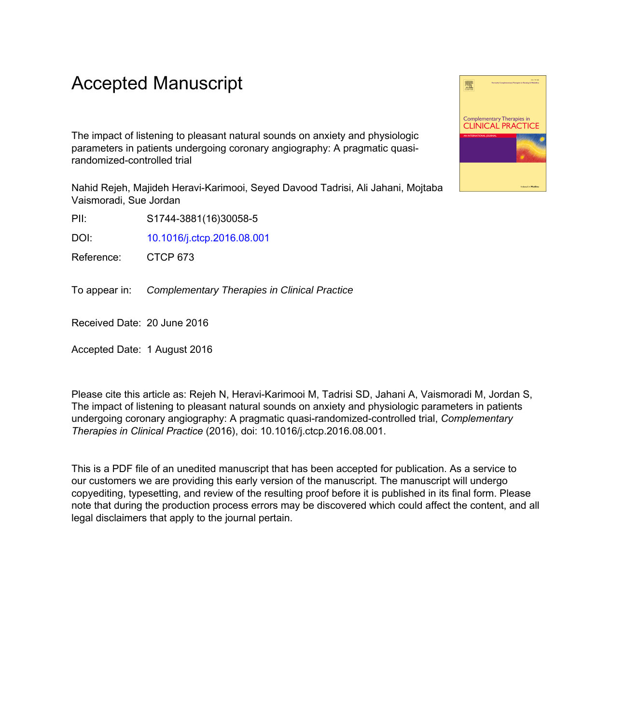# Accepted Manuscript

The impact of listening to pleasant natural sounds on anxiety and physiologic parameters in patients undergoing coronary angiography: A pragmatic quasirandomized-controlled trial

Nahid Rejeh, Majideh Heravi-Karimooi, Seyed Davood Tadrisi, Ali Jahani, Mojtaba Vaismoradi, Sue Jordan

PII: S1744-3881(16)30058-5

DOI: [10.1016/j.ctcp.2016.08.001](http://dx.doi.org/10.1016/j.ctcp.2016.08.001)

Reference: CTCP 673

To appear in: Complementary Therapies in Clinical Practice

Received Date: 20 June 2016

Accepted Date: 1 August 2016

Please cite this article as: Rejeh N, Heravi-Karimooi M, Tadrisi SD, Jahani A, Vaismoradi M, Jordan S, The impact of listening to pleasant natural sounds on anxiety and physiologic parameters in patients undergoing coronary angiography: A pragmatic quasi-randomized-controlled trial, *Complementary Therapies in Clinical Practice* (2016), doi: 10.1016/j.ctcp.2016.08.001.

This is a PDF file of an unedited manuscript that has been accepted for publication. As a service to our customers we are providing this early version of the manuscript. The manuscript will undergo copyediting, typesetting, and review of the resulting proof before it is published in its final form. Please note that during the production process errors may be discovered which could affect the content, and all legal disclaimers that apply to the journal pertain.

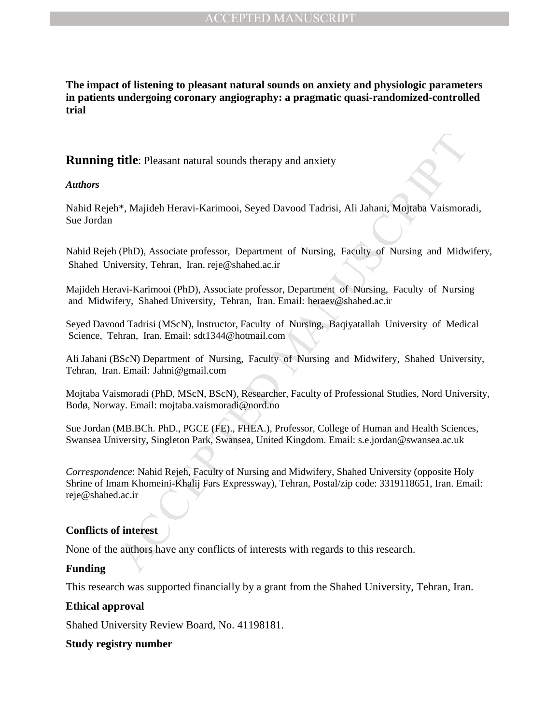**The impact of listening to pleasant natural sounds on anxiety and physiologic parameters in patients undergoing coronary angiography: a pragmatic quasi-randomized-controlled trial** 

# **Running title**: Pleasant natural sounds therapy and anxiety

## *Authors*

Nahid Rejeh\*, Majideh Heravi-Karimooi, Seyed Davood Tadrisi, Ali Jahani, Mojtaba Vaismoradi, Sue Jordan

Nahid Rejeh (PhD), Associate professor, Department of Nursing, Faculty of Nursing and Midwifery, Shahed University, Tehran, Iran. reje@shahed.ac.ir

Majideh Heravi-Karimooi (PhD), Associate professor, Department of Nursing, Faculty of Nursing and Midwifery, Shahed University, Tehran, Iran. Email: heraev@shahed.ac.ir

Seyed Davood Tadrisi (MScN), Instructor, Faculty of Nursing, Baqiyatallah University of Medical Science, Tehran, Iran. Email: sdt1344@hotmail.com

Ali Jahani (BScN) Department of Nursing, Faculty of Nursing and Midwifery, Shahed University, Tehran, Iran. Email: Jahni@gmail.com

Mojtaba Vaismoradi (PhD, MScN, BScN), Researcher, Faculty of Professional Studies, Nord University, Bodø, Norway. Email: mojtaba.vaismoradi@nord.no

Sue Jordan (MB.BCh. PhD., PGCE (FE)., FHEA.), Professor, College of Human and Health Sciences, Swansea University, Singleton Park, Swansea, United Kingdom. Email: s.e.jordan@swansea.ac.uk

**title:** Pleasant natural sounds therapy and anxiety<br>
1<sup>\*</sup>. Majideh Heravi-Karimooi, Seyed Davood Tadrisi, Ali Jahani, Mojtaba Vaismore<br>
1<sup>\*</sup>. Majideh Heravi-Karimooi, Seyed Davood Tadrisi, Ali Jahani, Mojtaba Vaismore<br>
1<sup></sup> *Correspondence*: Nahid Rejeh, Faculty of Nursing and Midwifery, Shahed University (opposite Holy Shrine of Imam Khomeini-Khalij Fars Expressway), Tehran, Postal/zip code: 3319118651, Iran. Email: reje@shahed.ac.ir

## **Conflicts of interest**

None of the authors have any conflicts of interests with regards to this research.

## **Funding**

This research was supported financially by a grant from the Shahed University, Tehran, Iran.

## **Ethical approval**

Shahed University Review Board, No. 41198181.

## **Study registry number**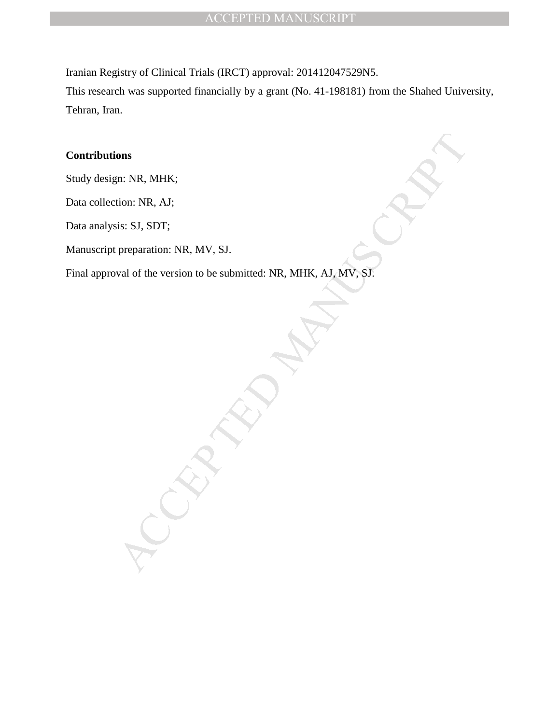Iranian Registry of Clinical Trials (IRCT) approval: 201412047529N5.

This research was supported financially by a grant (No. 41-198181) from the Shahed University, Tehran, Iran.

# **Contributions**

Study design: NR, MHK;

Data collection: NR, AJ;

Data analysis: SJ, SDT;

Manuscript preparation: NR, MV, SJ.

ons<br>
m: NR, MHK;<br>
is: SJ, SDT;<br>
preparation: NR, MV, SJ.<br>
val of the version to be submitted: NR, MHK, AJ, MV, SJ.<br>
and of the version to be submitted: NR, MHK, AJ, MV, SJ.<br>
and the version to be submitted: NR, MHK, AJ, MV Final approval of the version to be submitted: NR, MHK, AJ, MV, SJ.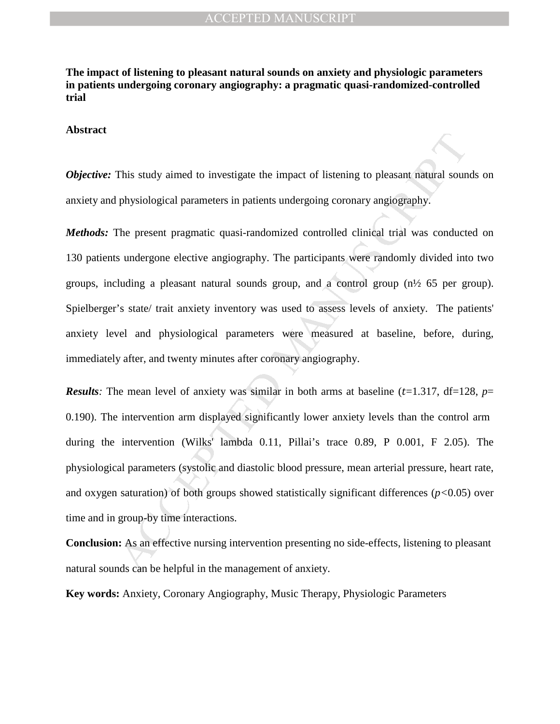**The impact of listening to pleasant natural sounds on anxiety and physiologic parameters in patients undergoing coronary angiography: a pragmatic quasi-randomized-controlled trial** 

## **Abstract**

*Objective:* This study aimed to investigate the impact of listening to pleasant natural sounds on anxiety and physiological parameters in patients undergoing coronary angiography.

This suady aimed to investigate the impact of listening to pleasant natural sound physiological parameters in patients undergoing coronary angiography.<br>The present pragmatic quasi-randomized controlled clinical trial was *Methods:* The present pragmatic quasi-randomized controlled clinical trial was conducted on 130 patients undergone elective angiography. The participants were randomly divided into two groups, including a pleasant natural sounds group, and a control group (n½ 65 per group). Spielberger's state/ trait anxiety inventory was used to assess levels of anxiety. The patients' anxiety level and physiological parameters were measured at baseline, before, during, immediately after, and twenty minutes after coronary angiography.

*Results*: The mean level of anxiety was similar in both arms at baseline ( $t=1.317$ ,  $df=128$ ,  $p=$ 0.190). The intervention arm displayed significantly lower anxiety levels than the control arm during the intervention (Wilks' lambda 0.11, Pillai's trace 0.89, P 0.001, F 2.05). The physiological parameters (systolic and diastolic blood pressure, mean arterial pressure, heart rate, and oxygen saturation) of both groups showed statistically significant differences (*p<*0.05) over time and in group-by time interactions.

**Conclusion:** As an effective nursing intervention presenting no side-effects, listening to pleasant natural sounds can be helpful in the management of anxiety.

**Key words:** Anxiety, Coronary Angiography, Music Therapy, Physiologic Parameters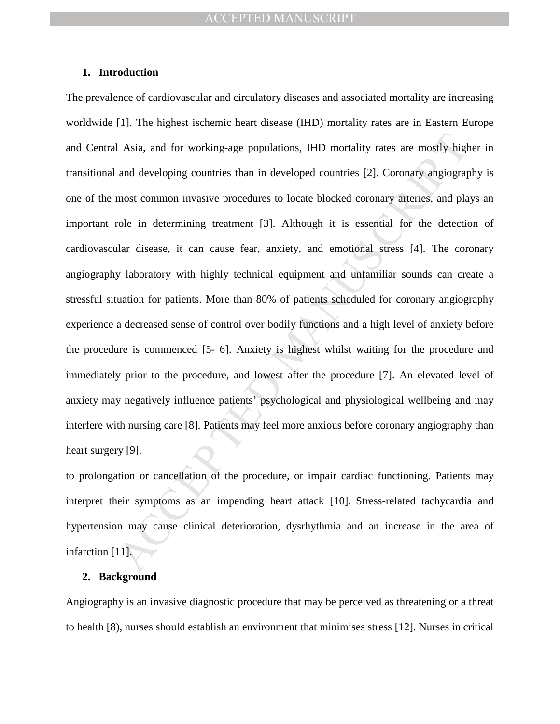## **1. Introduction**

I Asia, and for working-age populations, IHD mortality rates are mostly highered and developing countries than in developed countries [2]. Coronary angiograp amost common invasive procedures to locate blocked coronary arte The prevalence of cardiovascular and circulatory diseases and associated mortality are increasing worldwide [1]. The highest ischemic heart disease (IHD) mortality rates are in Eastern Europe and Central Asia, and for working-age populations, IHD mortality rates are mostly higher in transitional and developing countries than in developed countries [2]. Coronary angiography is one of the most common invasive procedures to locate blocked coronary arteries, and plays an important role in determining treatment [3]. Although it is essential for the detection of cardiovascular disease, it can cause fear, anxiety, and emotional stress [4]. The coronary angiography laboratory with highly technical equipment and unfamiliar sounds can create a stressful situation for patients. More than 80% of patients scheduled for coronary angiography experience a decreased sense of control over bodily functions and a high level of anxiety before the procedure is commenced [5- 6]. Anxiety is highest whilst waiting for the procedure and immediately prior to the procedure, and lowest after the procedure [7]. An elevated level of anxiety may negatively influence patients' psychological and physiological wellbeing and may interfere with nursing care [8]. Patients may feel more anxious before coronary angiography than heart surgery [9].

to prolongation or cancellation of the procedure, or impair cardiac functioning. Patients may interpret their symptoms as an impending heart attack [10]. Stress-related tachycardia and hypertension may cause clinical deterioration, dysrhythmia and an increase in the area of infarction [11].

## **2. Background**

Angiography is an invasive diagnostic procedure that may be perceived as threatening or a threat to health [8), nurses should establish an environment that minimises stress [12]. Nurses in critical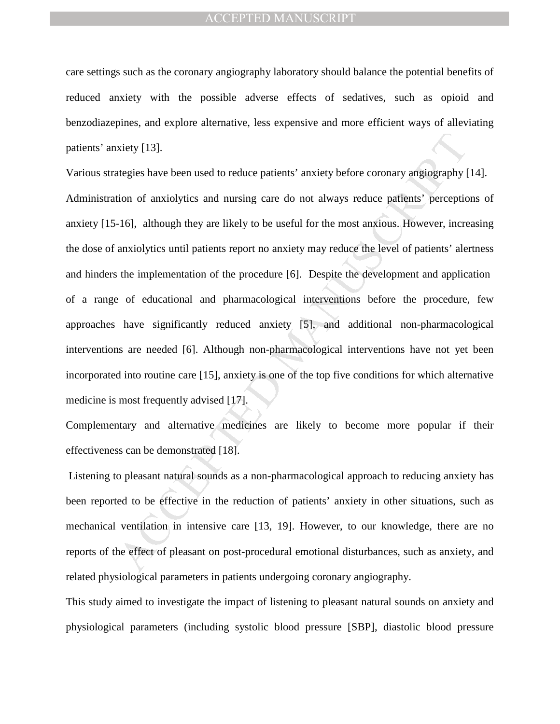care settings such as the coronary angiography laboratory should balance the potential benefits of reduced anxiety with the possible adverse effects of sedatives, such as opioid and benzodiazepines, and explore alternative, less expensive and more efficient ways of alleviating patients' anxiety [13].

xiety [13].<br>
Mategies have been used to reduce patients' anxiety before coronary angiography [<br>
tion of anxiolytics and nursing care do not always reduce patients' perception-<br>
1-6], although they are likely to be useful f Various strategies have been used to reduce patients' anxiety before coronary angiography [14]. Administration of anxiolytics and nursing care do not always reduce patients' perceptions of anxiety [15-16], although they are likely to be useful for the most anxious. However, increasing the dose of anxiolytics until patients report no anxiety may reduce the level of patients' alertness and hinders the implementation of the procedure [6]. Despite the development and application of a range of educational and pharmacological interventions before the procedure, few approaches have significantly reduced anxiety [5], and additional non-pharmacological interventions are needed [6]. Although non-pharmacological interventions have not yet been incorporated into routine care [15], anxiety is one of the top five conditions for which alternative medicine is most frequently advised [17].

Complementary and alternative medicines are likely to become more popular if their effectiveness can be demonstrated [18].

 Listening to pleasant natural sounds as a non-pharmacological approach to reducing anxiety has been reported to be effective in the reduction of patients' anxiety in other situations, such as mechanical ventilation in intensive care [13, 19]. However, to our knowledge, there are no reports of the effect of pleasant on post-procedural emotional disturbances, such as anxiety, and related physiological parameters in patients undergoing coronary angiography.

This study aimed to investigate the impact of listening to pleasant natural sounds on anxiety and physiological parameters (including systolic blood pressure [SBP], diastolic blood pressure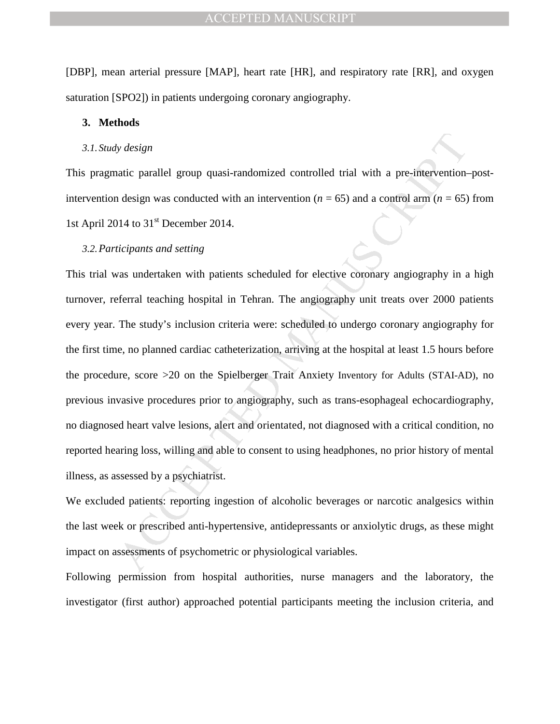[DBP], mean arterial pressure [MAP], heart rate [HR], and respiratory rate [RR], and oxygen saturation [SPO2]) in patients undergoing coronary angiography.

## **3. Methods**

## *3.1. Study design*

This pragmatic parallel group quasi-randomized controlled trial with a pre-intervention–postintervention design was conducted with an intervention ( $n = 65$ ) and a control arm ( $n = 65$ ) from 1st April 2014 to 31<sup>st</sup> December 2014.

## *3.2.Participants and setting*

by design<br>
stic parallel group quasi-randomized controlled trial with a pre-imervention-<br>
design was conducted with an intervention (n = 65) and a control arm (n = 65)<br>
14 to 31<sup>st</sup> December 2014.<br> *Ricipants and setting*<br> This trial was undertaken with patients scheduled for elective coronary angiography in a high turnover, referral teaching hospital in Tehran. The angiography unit treats over 2000 patients every year. The study's inclusion criteria were: scheduled to undergo coronary angiography for the first time, no planned cardiac catheterization, arriving at the hospital at least 1.5 hours before the procedure, score >20 on the Spielberger Trait Anxiety Inventory for Adults (STAI-AD), no previous invasive procedures prior to angiography, such as trans-esophageal echocardiography, no diagnosed heart valve lesions, alert and orientated, not diagnosed with a critical condition, no reported hearing loss, willing and able to consent to using headphones, no prior history of mental illness, as assessed by a psychiatrist.

We excluded patients: reporting ingestion of alcoholic beverages or narcotic analgesics within the last week or prescribed anti-hypertensive, antidepressants or anxiolytic drugs, as these might impact on assessments of psychometric or physiological variables.

Following permission from hospital authorities, nurse managers and the laboratory, the investigator (first author) approached potential participants meeting the inclusion criteria, and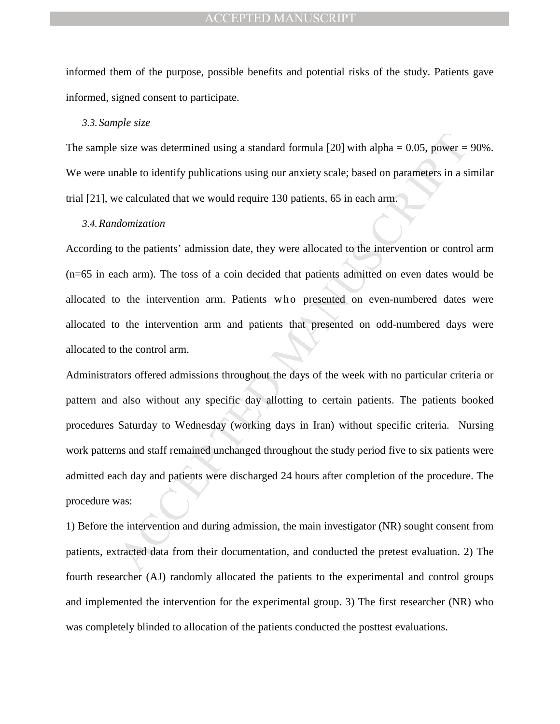informed them of the purpose, possible benefits and potential risks of the study. Patients gave informed, signed consent to participate.

## *3.3.Sample size*

The sample size was determined using a standard formula [20] with alpha  $= 0.05$ , power  $= 90\%$ . We were unable to identify publications using our anxiety scale; based on parameters in a similar trial [21], we calculated that we would require 130 patients, 65 in each arm.

## *3.4.Randomization*

According to the patients' admission date, they were allocated to the intervention or control arm (n=65 in each arm). The toss of a coin decided that patients admitted on even dates would be allocated to the intervention arm. Patients who presented on even-numbered dates were allocated to the intervention arm and patients that presented on odd-numbered days were allocated to the control arm.

size was determined using a standard formula  $|20|$  with alpha = 0.05, power = nable to identify publications using our anxiety scale; based on parameters in a si<br>celucted that we would require 130 patients, 65 in each ar Administrators offered admissions throughout the days of the week with no particular criteria or pattern and also without any specific day allotting to certain patients. The patients booked procedures Saturday to Wednesday (working days in Iran) without specific criteria. Nursing work patterns and staff remained unchanged throughout the study period five to six patients were admitted each day and patients were discharged 24 hours after completion of the procedure. The procedure was:

1) Before the intervention and during admission, the main investigator (NR) sought consent from patients, extracted data from their documentation, and conducted the pretest evaluation. 2) The fourth researcher (AJ) randomly allocated the patients to the experimental and control groups and implemented the intervention for the experimental group. 3) The first researcher (NR) who was completely blinded to allocation of the patients conducted the posttest evaluations.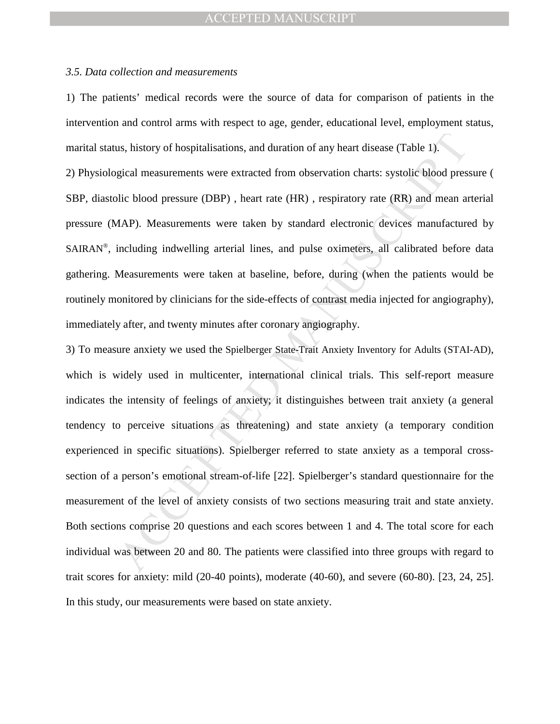#### *3.5. Data collection and measurements*

1) The patients' medical records were the source of data for comparison of patients in the intervention and control arms with respect to age, gender, educational level, employment status, marital status, history of hospitalisations, and duration of any heart disease (Table 1).

2) Physiological measurements were extracted from observation charts: systolic blood pressure ( SBP, diastolic blood pressure (DBP), heart rate (HR), respiratory rate (RR) and mean arterial pressure (MAP). Measurements were taken by standard electronic devices manufactured by SAIRAN®, including indwelling arterial lines, and pulse oximeters, all calibrated before data gathering. Measurements were taken at baseline, before, during (when the patients would be routinely monitored by clinicians for the side-effects of contrast media injected for angiography), immediately after, and twenty minutes after coronary angiography.

us, history of hospitalisations, and duration of any heart disease (Table 1).<br>
sigical measurements were extracted from observation charts: systolic blood pres<br>
bic blood pressure (DBP), heart rate (HR), respiratory rate ( 3) To measure anxiety we used the Spielberger State-Trait Anxiety Inventory for Adults (STAI-AD), which is widely used in multicenter, international clinical trials. This self-report measure indicates the intensity of feelings of anxiety; it distinguishes between trait anxiety (a general tendency to perceive situations as threatening) and state anxiety (a temporary condition experienced in specific situations). Spielberger referred to state anxiety as a temporal crosssection of a person's emotional stream-of-life [22]. Spielberger's standard questionnaire for the measurement of the level of anxiety consists of two sections measuring trait and state anxiety. Both sections comprise 20 questions and each scores between 1 and 4. The total score for each individual was between 20 and 80. The patients were classified into three groups with regard to trait scores for anxiety: mild (20-40 points), moderate (40-60), and severe (60-80). [23, 24, 25]. In this study, our measurements were based on state anxiety.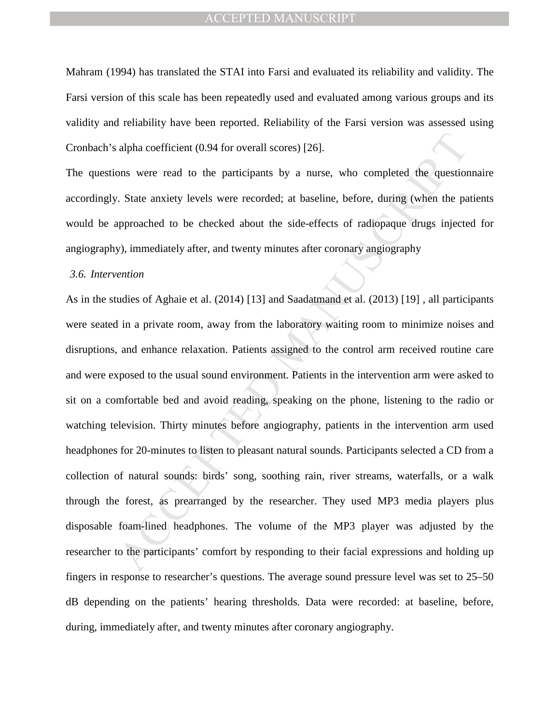Mahram (1994) has translated the STAI into Farsi and evaluated its reliability and validity. The Farsi version of this scale has been repeatedly used and evaluated among various groups and its validity and reliability have been reported. Reliability of the Farsi version was assessed using Cronbach's alpha coefficient (0.94 for overall scores) [26].

The questions were read to the participants by a nurse, who completed the questionnaire accordingly. State anxiety levels were recorded; at baseline, before, during (when the patients would be approached to be checked about the side-effects of radiopaque drugs injected for angiography), immediately after, and twenty minutes after coronary angiography

#### *3.6. Intervention*

alpha coefficient (0.94 for overall scores) [26].<br>
State anxiety levels were recorded; at baseline, before, during (when the papproached to be checked about the side-effects of radiopaque drugs injectedy, immediately after As in the studies of Aghaie et al. (2014) [13] and Saadatmand et al. (2013) [19] , all participants were seated in a private room, away from the laboratory waiting room to minimize noises and disruptions, and enhance relaxation. Patients assigned to the control arm received routine care and were exposed to the usual sound environment. Patients in the intervention arm were asked to sit on a comfortable bed and avoid reading, speaking on the phone, listening to the radio or watching television. Thirty minutes before angiography, patients in the intervention arm used headphones for 20-minutes to listen to pleasant natural sounds. Participants selected a CD from a collection of natural sounds: birds' song, soothing rain, river streams, waterfalls, or a walk through the forest, as prearranged by the researcher. They used MP3 media players plus disposable foam-lined headphones. The volume of the MP3 player was adjusted by the researcher to the participants' comfort by responding to their facial expressions and holding up fingers in response to researcher's questions. The average sound pressure level was set to 25–50 dB depending on the patients' hearing thresholds. Data were recorded: at baseline, before, during, immediately after, and twenty minutes after coronary angiography.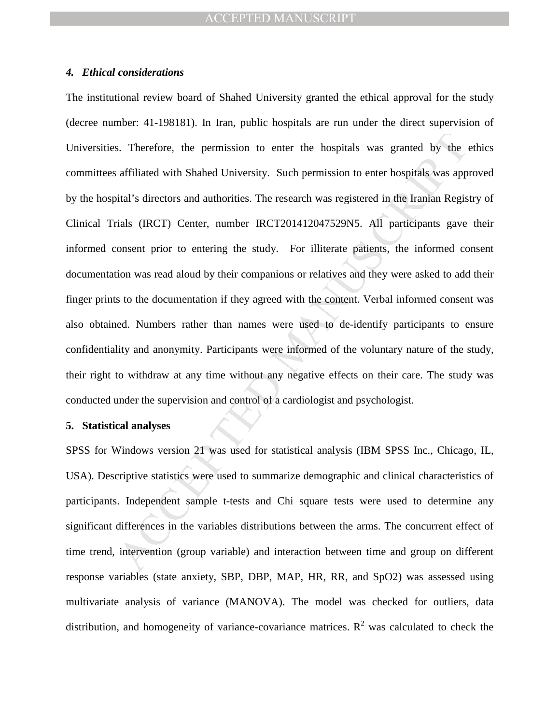## *4. Ethical considerations*

s. Therefore, the permission to enter the hospitals was granted by the affiliated with Shahed University. Such permission to enter hospitals was appoial's directors and authorities. The research was registered in the Irani The institutional review board of Shahed University granted the ethical approval for the study (decree number: 41-198181). In Iran, public hospitals are run under the direct supervision of Universities. Therefore, the permission to enter the hospitals was granted by the ethics committees affiliated with Shahed University. Such permission to enter hospitals was approved by the hospital's directors and authorities. The research was registered in the Iranian Registry of Clinical Trials (IRCT) Center, number IRCT201412047529N5. All participants gave their informed consent prior to entering the study. For illiterate patients, the informed consent documentation was read aloud by their companions or relatives and they were asked to add their finger prints to the documentation if they agreed with the content. Verbal informed consent was also obtained. Numbers rather than names were used to de-identify participants to ensure confidentiality and anonymity. Participants were informed of the voluntary nature of the study, their right to withdraw at any time without any negative effects on their care. The study was conducted under the supervision and control of a cardiologist and psychologist.

## **5. Statistical analyses**

SPSS for Windows version 21 was used for statistical analysis (IBM SPSS Inc., Chicago, IL, USA). Descriptive statistics were used to summarize demographic and clinical characteristics of participants. Independent sample t-tests and Chi square tests were used to determine any significant differences in the variables distributions between the arms. The concurrent effect of time trend, intervention (group variable) and interaction between time and group on different response variables (state anxiety, SBP, DBP, MAP, HR, RR, and SpO2) was assessed using multivariate analysis of variance (MANOVA). The model was checked for outliers, data distribution, and homogeneity of variance-covariance matrices.  $R^2$  was calculated to check the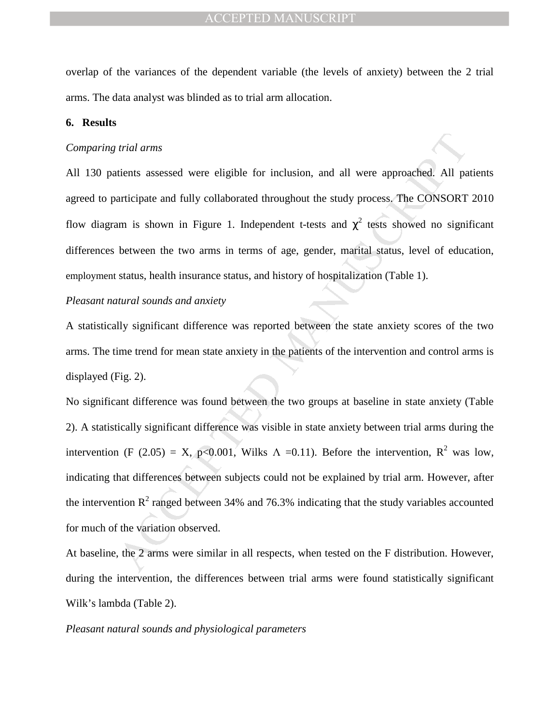overlap of the variances of the dependent variable (the levels of anxiety) between the 2 trial arms. The data analyst was blinded as to trial arm allocation.

## **6. Results**

#### *Comparing trial arms*

All 130 patients assessed were eligible for inclusion, and all were approached. All patients agreed to participate and fully collaborated throughout the study process. The CONSORT 2010 flow diagram is shown in Figure 1. Independent t-tests and  $\chi^2$  tests showed no significant differences between the two arms in terms of age, gender, marital status, level of education, employment status, health insurance status, and history of hospitalization (Table 1).

## *Pleasant natural sounds and anxiety*

A statistically significant difference was reported between the state anxiety scores of the two arms. The time trend for mean state anxiety in the patients of the intervention and control arms is displayed (Fig. 2).

*trial arms*<br> *trial arms*<br> *trial arms*<br> *trial arms*<br> *trial arms*<br> *in* Figure 1. Independent t-tests and  $\chi^2$  tests showed no signi<br>
between the two arms in terms of age, gender, marital status, level of educ<br>
statu No significant difference was found between the two groups at baseline in state anxiety (Table 2). A statistically significant difference was visible in state anxiety between trial arms during the intervention (F (2.05) = X, p<0.001, Wilks  $\Lambda$  =0.11). Before the intervention, R<sup>2</sup> was low, indicating that differences between subjects could not be explained by trial arm. However, after the intervention  $R^2$  ranged between 34% and 76.3% indicating that the study variables accounted for much of the variation observed.

At baseline, the 2 arms were similar in all respects, when tested on the F distribution. However, during the intervention, the differences between trial arms were found statistically significant Wilk's lambda (Table 2).

## *Pleasant natural sounds and physiological parameters*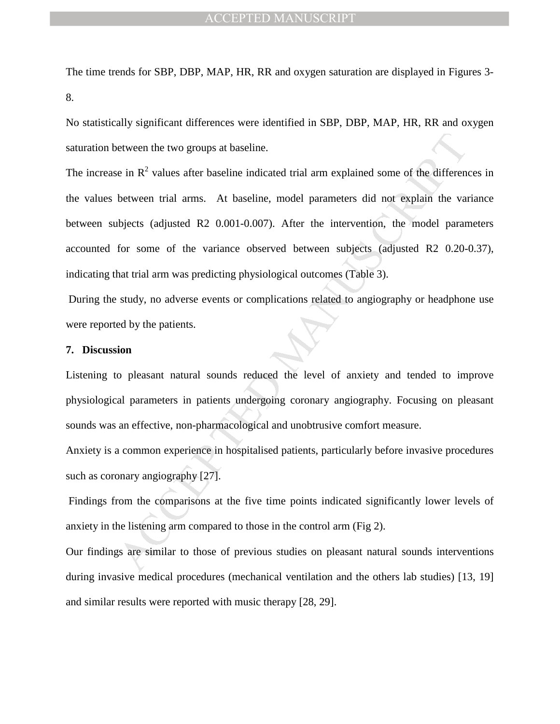The time trends for SBP, DBP, MAP, HR, RR and oxygen saturation are displayed in Figures 3- 8.

No statistically significant differences were identified in SBP, DBP, MAP, HR, RR and oxygen saturation between the two groups at baseline.

between the two groups at baseline.<br>
ie in R<sup>2</sup> values after baseline indicated trial arm explained some of the different<br>
between trial arms. At baseline, model parameters did not explain the vari<br>
between trial arms. At The increase in  $R^2$  values after baseline indicated trial arm explained some of the differences in the values between trial arms. At baseline, model parameters did not explain the variance between subjects (adjusted R2 0.001-0.007). After the intervention, the model parameters accounted for some of the variance observed between subjects (adjusted R2 0.20-0.37), indicating that trial arm was predicting physiological outcomes (Table 3).

 During the study, no adverse events or complications related to angiography or headphone use were reported by the patients.

## **7. Discussion**

Listening to pleasant natural sounds reduced the level of anxiety and tended to improve physiological parameters in patients undergoing coronary angiography. Focusing on pleasant sounds was an effective, non-pharmacological and unobtrusive comfort measure.

Anxiety is a common experience in hospitalised patients, particularly before invasive procedures such as coronary angiography [27].

 Findings from the comparisons at the five time points indicated significantly lower levels of anxiety in the listening arm compared to those in the control arm (Fig 2).

Our findings are similar to those of previous studies on pleasant natural sounds interventions during invasive medical procedures (mechanical ventilation and the others lab studies) [13, 19] and similar results were reported with music therapy [28, 29].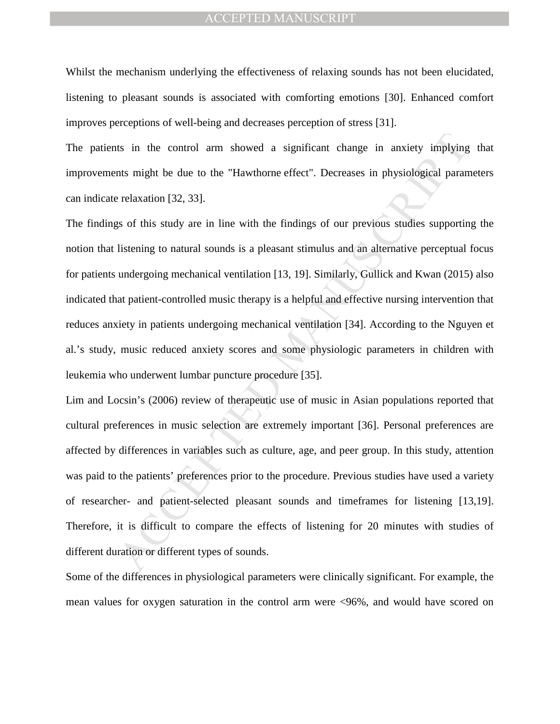Whilst the mechanism underlying the effectiveness of relaxing sounds has not been elucidated, listening to pleasant sounds is associated with comforting emotions [30]. Enhanced comfort improves perceptions of well-being and decreases perception of stress [31].

The patients in the control arm showed a significant change in anxiety implying that improvements might be due to the "Hawthorne effect". Decreases in physiological parameters can indicate relaxation [32, 33].

It is in the control arm showed a significant change in anxiety implying<br>that might be due to the "Hawthome effect". Decreases in physiological paran<br>relaxation [32, 33].<br>gs of this study are in line with the findings of o The findings of this study are in line with the findings of our previous studies supporting the notion that listening to natural sounds is a pleasant stimulus and an alternative perceptual focus for patients undergoing mechanical ventilation [13, 19]. Similarly, Gullick and Kwan (2015) also indicated that patient-controlled music therapy is a helpful and effective nursing intervention that reduces anxiety in patients undergoing mechanical ventilation [34]. According to the Nguyen et al.'s study, music reduced anxiety scores and some physiologic parameters in children with leukemia who underwent lumbar puncture procedure [35].

Lim and Locsin's (2006) review of therapeutic use of music in Asian populations reported that cultural preferences in music selection are extremely important [36]. Personal preferences are affected by differences in variables such as culture, age, and peer group. In this study, attention was paid to the patients' preferences prior to the procedure. Previous studies have used a variety of researcher- and patient-selected pleasant sounds and timeframes for listening [13,19]. Therefore, it is difficult to compare the effects of listening for 20 minutes with studies of different duration or different types of sounds.

Some of the differences in physiological parameters were clinically significant. For example, the mean values for oxygen saturation in the control arm were <96%, and would have scored on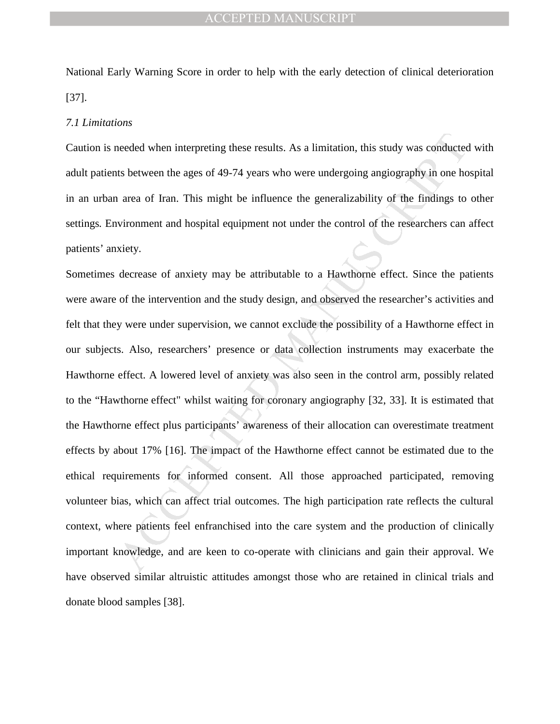National Early Warning Score in order to help with the early detection of clinical deterioration [37].

#### *7.1 Limitations*

Caution is needed when interpreting these results. As a limitation, this study was conducted with adult patients between the ages of 49-74 years who were undergoing angiography in one hospital in an urban area of Iran. This might be influence the generalizability of the findings to other settings*.* Environment and hospital equipment not under the control of the researchers can affect patients' anxiety.

needed when interpreting these results. As a limitation, this study was conducted<br>ts between the ages of 49-74 years who were undergoing angiography in one ho<br>area of Iran. This might be influence the generalizability of t Sometimes decrease of anxiety may be attributable to a Hawthorne effect. Since the patients were aware of the intervention and the study design, and observed the researcher's activities and felt that they were under supervision, we cannot exclude the possibility of a Hawthorne effect in our subjects. Also, researchers' presence or data collection instruments may exacerbate the Hawthorne effect. A lowered level of anxiety was also seen in the control arm, possibly related to the "Hawthorne effect" whilst waiting for coronary angiography [32, 33]. It is estimated that the Hawthorne effect plus participants' awareness of their allocation can overestimate treatment effects by about 17% [16]. The impact of the Hawthorne effect cannot be estimated due to the ethical requirements for informed consent. All those approached participated, removing volunteer bias, which can affect trial outcomes. The high participation rate reflects the cultural context, where patients feel enfranchised into the care system and the production of clinically important knowledge, and are keen to co-operate with clinicians and gain their approval. We have observed similar altruistic attitudes amongst those who are retained in clinical trials and donate blood samples [38].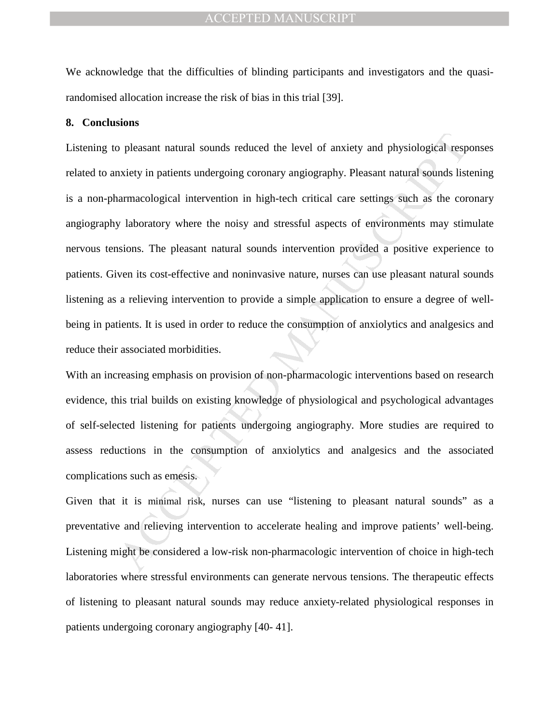We acknowledge that the difficulties of blinding participants and investigators and the quasirandomised allocation increase the risk of bias in this trial [39].

## **8. Conclusions**

The personal natural sounds reduced the level of anxiety and physiological responsively in patients undergoing coronary angiography. Pleasant natural sounds list narmacological intervention in high-tech critical care setti Listening to pleasant natural sounds reduced the level of anxiety and physiological responses related to anxiety in patients undergoing coronary angiography. Pleasant natural sounds listening is a non-pharmacological intervention in high-tech critical care settings such as the coronary angiography laboratory where the noisy and stressful aspects of environments may stimulate nervous tensions. The pleasant natural sounds intervention provided a positive experience to patients. Given its cost-effective and noninvasive nature, nurses can use pleasant natural sounds listening as a relieving intervention to provide a simple application to ensure a degree of wellbeing in patients. It is used in order to reduce the consumption of anxiolytics and analgesics and reduce their associated morbidities.

With an increasing emphasis on provision of non-pharmacologic interventions based on research evidence, this trial builds on existing knowledge of physiological and psychological advantages of self-selected listening for patients undergoing angiography. More studies are required to assess reductions in the consumption of anxiolytics and analgesics and the associated complications such as emesis.

Given that it is minimal risk, nurses can use "listening to pleasant natural sounds" as a preventative and relieving intervention to accelerate healing and improve patients' well-being. Listening might be considered a low-risk non-pharmacologic intervention of choice in high-tech laboratories where stressful environments can generate nervous tensions. The therapeutic effects of listening to pleasant natural sounds may reduce anxiety-related physiological responses in patients undergoing coronary angiography [40- 41].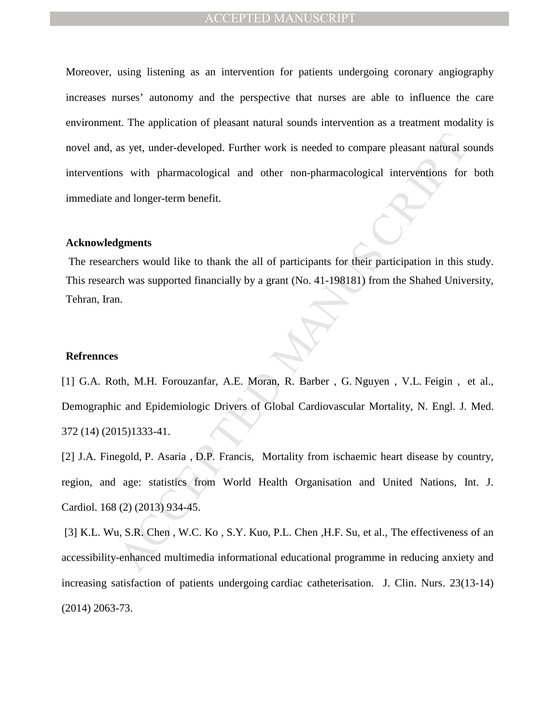as yet, under-developed. Further work is needed to compare pleasant natural so<br>
1898 with pharmacological and other non-pharmacological interventions for<br>
1898 with pharmacological and other non-pharmacological interventio Moreover, using listening as an intervention for patients undergoing coronary angiography increases nurses' autonomy and the perspective that nurses are able to influence the care environment. The application of pleasant natural sounds intervention as a treatment modality is novel and, as yet, under-developed. Further work is needed to compare pleasant natural sounds interventions with pharmacological and other non-pharmacological interventions for both immediate and longer-term benefit.

## **Acknowledgments**

 The researchers would like to thank the all of participants for their participation in this study. This research was supported financially by a grant (No. 41-198181) from the Shahed University, Tehran, Iran.

## **Refrennces**

[1] G.A. Roth, M.H. Forouzanfar, A.E. Moran, R. Barber , G. Nguyen , V.L. Feigin , et al., Demographic and Epidemiologic Drivers of Global Cardiovascular Mortality, N. Engl. J. Med. 372 (14) (2015)1333-41.

[2] J.A. Finegold, P. Asaria , D.P. Francis, Mortality from ischaemic heart disease by country, region, and age: statistics from World Health Organisation and United Nations, Int. J. Cardiol. 168 (2) (2013) 934-45.

 [3] K.L. Wu, S.R. Chen , W.C. Ko , S.Y. Kuo, P.L. Chen ,H.F. Su, et al., The effectiveness of an accessibility-enhanced multimedia informational educational programme in reducing anxiety and increasing satisfaction of patients undergoing cardiac catheterisation. J. Clin. Nurs. 23(13-14) (2014) 2063-73.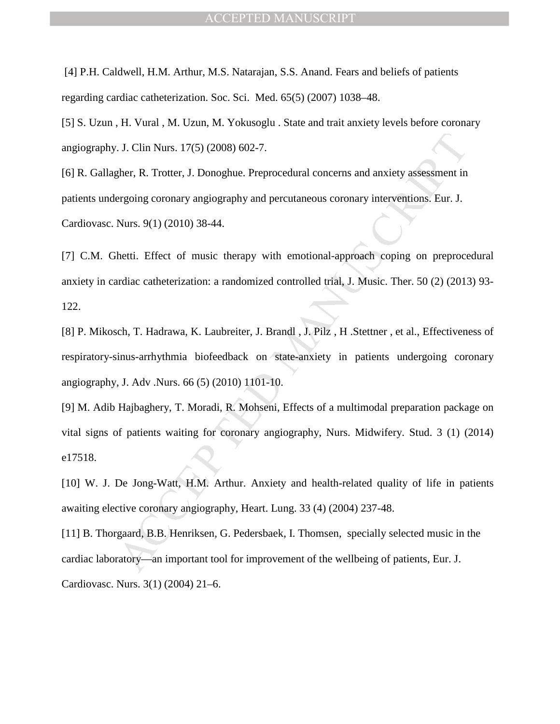[4] P.H. Caldwell, H.M. Arthur, M.S. Natarajan, S.S. Anand. Fears and beliefs of patients regarding cardiac catheterization. Soc. Sci. Med. 65(5) (2007) 1038–48.

[5] S. Uzun , H. Vural , M. Uzun, M. Yokusoglu . State and trait anxiety levels before coronary angiography. J. Clin Nurs. 17(5) (2008) 602-7.

[6] R. Gallagher, R. Trotter, J. Donoghue. Preprocedural concerns and anxiety assessment in patients undergoing coronary angiography and percutaneous coronary interventions. Eur. J. Cardiovasc. Nurs. 9(1) (2010) 38-44.

[7] C.M. Ghetti. Effect of music therapy with emotional-approach coping on preprocedural anxiety in cardiac catheterization: a randomized controlled trial, J. Music. Ther. 50 (2) (2013) 93- 122.

. J. Clin Nurs. 17(5) (2008) 602-7.<br>
gher, R. Trotter, J. Donoghue. Preprocedural concerns and anxiety assessment in<br>
gregoing coronary angiography and percutaneous coronary interventions. Eur. J.<br>
Nurs. 9(1) (2010) 38-44. [8] P. Mikosch, T. Hadrawa, K. Laubreiter, J. Brandl , J. Pilz , H .Stettner , et al., Effectiveness of respiratory-sinus-arrhythmia biofeedback on state-anxiety in patients undergoing coronary angiography, J. Adv .Nurs. 66 (5) (2010) 1101-10.

[9] M. Adib Hajbaghery, T. Moradi, R. Mohseni, Effects of a multimodal preparation package on vital signs of patients waiting for coronary angiography, Nurs. Midwifery. Stud. 3 (1) (2014) e17518.

[10] W. J. De Jong-Watt, H.M. Arthur. Anxiety and health-related quality of life in patients awaiting elective coronary angiography, Heart. Lung. 33 (4) (2004) 237-48.

[11] B. Thorgaard, B.B. Henriksen, G. Pedersbaek, I. Thomsen, specially selected music in the cardiac laboratory—an important tool for improvement of the wellbeing of patients, Eur. J. Cardiovasc. Nurs. 3(1) (2004) 21–6.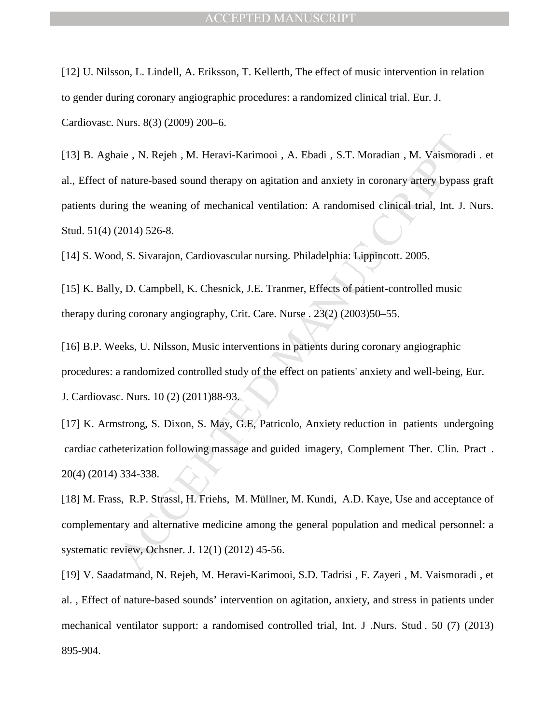[12] U. Nilsson, L. Lindell, A. Eriksson, T. Kellerth, The effect of music intervention in relation to gender during coronary angiographic procedures: a randomized clinical trial. Eur. J. Cardiovasc. Nurs. 8(3) (2009) 200–6.

aie, N. Rejeh, M. Heravi-Karimooi, A. Ebadi, S.T. Moradian, M. Vaismorar<br>
aie , N. Rejeh, M. Heravi-Karimooi, A. Ebadi, S.T. Moradian, M. Vaismorar<br>
in anter-based sound therapy on agitation and anxiety in coronary artery [13] B. Aghaie , N. Rejeh , M. Heravi-Karimooi , A. Ebadi , S.T. Moradian , M. Vaismoradi . et al., Effect of nature-based sound therapy on agitation and anxiety in coronary artery bypass graft patients during the weaning of mechanical ventilation: A randomised clinical trial, Int. J. Nurs. Stud. 51(4) (2014) 526-8.

[14] S. Wood, S. Sivarajon, Cardiovascular nursing. Philadelphia: Lippincott. 2005.

[15] K. Bally, D. Campbell, K. Chesnick, J.E. Tranmer, Effects of patient-controlled music therapy during coronary angiography, Crit. Care. Nurse . 23(2) (2003)50–55.

[16] B.P. Weeks, U. Nilsson, Music interventions in patients during coronary angiographic procedures: a randomized controlled study of the effect on patients' anxiety and well-being, Eur. J. Cardiovasc. Nurs. 10 (2) (2011)88-93.

[17] K. Armstrong, S. Dixon, S. May, G.E, Patricolo, Anxiety reduction in patients undergoing cardiac catheterization following massage and guided imagery, Complement Ther. Clin. Pract . 20(4) (2014) 334-338.

[18] M. Frass, R.P. Strassl, H. Friehs, M. Müllner, M. Kundi, A.D. Kaye, Use and acceptance of complementary and alternative medicine among the general population and medical personnel: a systematic review, Ochsner. J. 12(1) (2012) 45-56.

[19] V. Saadatmand, N. Rejeh, M. Heravi-Karimooi, S.D. Tadrisi , F. Zayeri , M. Vaismoradi , et al. , Effect of nature-based sounds' intervention on agitation, anxiety, and stress in patients under mechanical ventilator support: a randomised controlled trial, Int. J .Nurs. Stud . 50 (7) (2013) 895-904.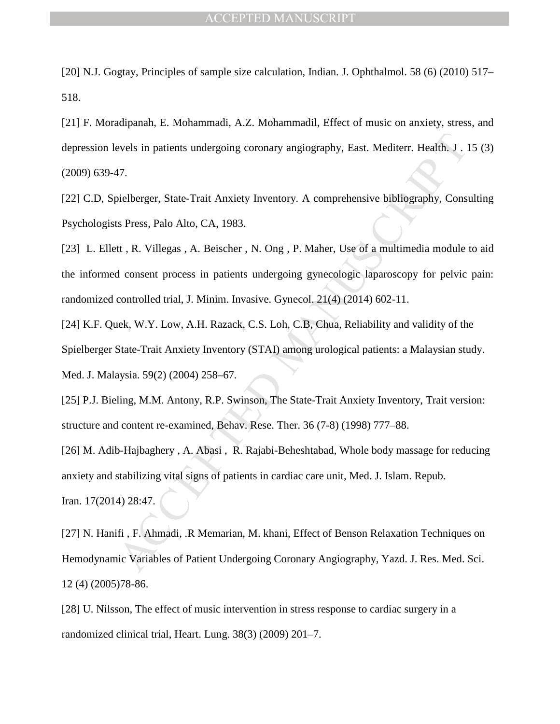[20] N.J. Gogtay, Principles of sample size calculation, Indian. J. Ophthalmol. 58 (6) (2010) 517– 518.

[21] F. Moradipanah, E. Mohammadi, A.Z. Mohammadil, Effect of music on anxiety, stress, and depression levels in patients undergoing coronary angiography, East. Mediterr. Health. J . 15 (3) (2009) 639-47.

[22] C.D, Spielberger, State-Trait Anxiety Inventory. A comprehensive bibliography, Consulting Psychologists Press, Palo Alto, CA, 1983.

evels in patients undergoing coronary angiography, East. Mediterr. Health. J. 1<br>
17.<br>
17.<br>
hielberger, State-Trait Anxiety Inventory. A comprehensive bibliography, Consts<br>
18. Press, Palo Alto, CA, 1983.<br>
11. R. Villegas , [23] L. Ellett, R. Villegas, A. Beischer, N. Ong, P. Maher, Use of a multimedia module to aid the informed consent process in patients undergoing gynecologic laparoscopy for pelvic pain: randomized controlled trial, J. Minim. Invasive. Gynecol. 21(4) (2014) 602-11.

[24] K.F. Quek, W.Y. Low, A.H. Razack, C.S. Loh, C.B, Chua, Reliability and validity of the Spielberger State-Trait Anxiety Inventory (STAI) among urological patients: a Malaysian study. Med. J. Malaysia. 59(2) (2004) 258–67.

[25] P.J. Bieling, M.M. Antony, R.P. Swinson, The State-Trait Anxiety Inventory, Trait version: structure and content re-examined, Behav. Rese. Ther. 36 (7-8) (1998) 777–88.

[26] M. Adib-Hajbaghery, A. Abasi, R. Rajabi-Beheshtabad, Whole body massage for reducing anxiety and stabilizing vital signs of patients in cardiac care unit, Med. J. Islam. Repub. Iran. 17(2014) 28:47.

[27] N. Hanifi , F. Ahmadi, .R Memarian, M. khani, Effect of Benson Relaxation Techniques on Hemodynamic Variables of Patient Undergoing Coronary Angiography, Yazd. J. Res. Med. Sci. 12 (4) (2005)78-86.

[28] U. Nilsson, The effect of music intervention in stress response to cardiac surgery in a randomized clinical trial, Heart. Lung. 38(3) (2009) 201–7.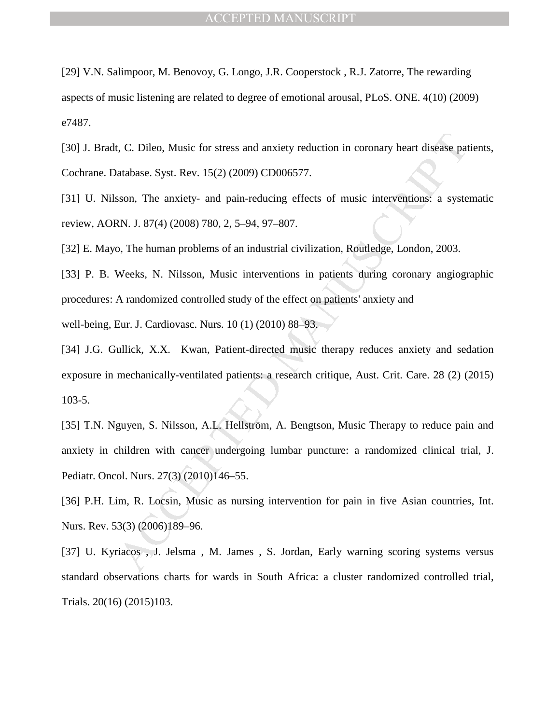[29] V.N. Salimpoor, M. Benovoy, G. Longo, J.R. Cooperstock , R.J. Zatorre, The rewarding aspects of music listening are related to degree of emotional arousal, PLoS. ONE. 4(10) (2009) e7487.

[30] J. Bradt, C. Dileo, Music for stress and anxiety reduction in coronary heart disease patients, Cochrane. Database. Syst. Rev. 15(2) (2009) CD006577.

[31] U. Nilsson, The anxiety- and pain-reducing effects of music interventions: a systematic review, AORN. J. 87(4) (2008) 780, 2, 5–94, 97–807.

[32] E. Mayo, The human problems of an industrial civilization, Routledge, London, 2003.

[33] P. B. Weeks, N. Nilsson, Music interventions in patients during coronary angiographic procedures: A randomized controlled study of the effect on patients' anxiety and

well-being, Eur. J. Cardiovasc. Nurs. 10 (1) (2010) 88–93.

I, C. Dileo, Music for stress and anxiety reduction in coronary heart disease pat<br>
utabase. Syst. Rev. 15(2) (2009) CD006577.<br>
sson, The anxiety- and pain-reducing effects of music interventions: a syste<br>
RN. J. 87(4) (200 [34] J.G. Gullick, X.X. Kwan, Patient-directed music therapy reduces anxiety and sedation exposure in mechanically-ventilated patients: a research critique, Aust. Crit. Care. 28 (2) (2015) 103-5.

[35] T.N. Nguyen, S. Nilsson, A.L. Hellström, A. Bengtson, Music Therapy to reduce pain and anxiety in children with cancer undergoing lumbar puncture: a randomized clinical trial, J. Pediatr. Oncol. Nurs. 27(3) (2010)146–55.

[36] P.H. Lim, R. Locsin, Music as nursing intervention for pain in five Asian countries, Int. Nurs. Rev. 53(3) (2006)189–96.

[37] U. Kyriacos , J. Jelsma , M. James , S. Jordan, Early warning scoring systems versus standard observations charts for wards in South Africa: a cluster randomized controlled trial, Trials. 20(16) (2015)103.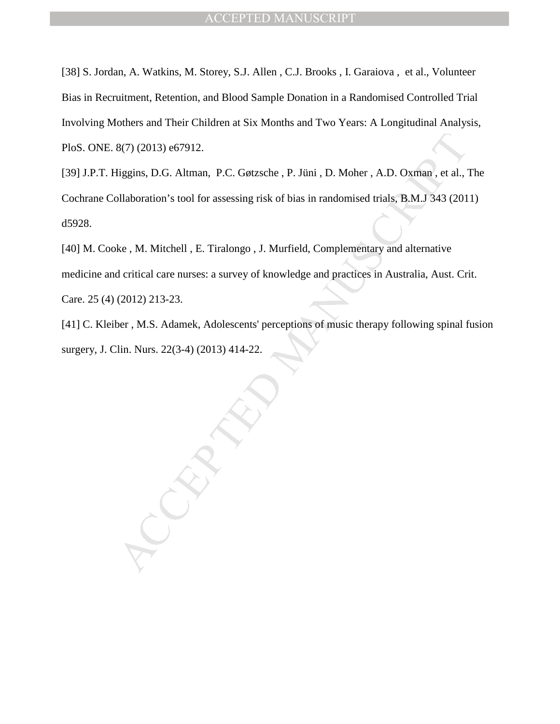[38] S. Jordan, A. Watkins, M. Storey, S.J. Allen , C.J. Brooks , I. Garaiova , et al., Volunteer Bias in Recruitment, Retention, and Blood Sample Donation in a Randomised Controlled Trial Involving Mothers and Their Children at Six Months and Two Years: A Longitudinal Analysis, PloS. ONE. 8(7) (2013) e67912.

[39] J.P.T. Higgins, D.G. Altman, P.C. Gøtzsche , P. Jüni , D. Moher , A.D. Oxman , et al., The Cochrane Collaboration's tool for assessing risk of bias in randomised trials, B.M.J 343 (2011) d5928.

8(7) (2013) e67912.<br>
Higgins, D.G. Altman, P.C. Gøtzsche, P. Jüni, D. Moher, A.D. Oxman, et al.,<br>
Illaboration's tool for assessing risk of bias in randomised trials, B.M.J 343 (201<br>
ke, M. Mitchell, E. Tiralongo, J. Murfi [40] M. Cooke, M. Mitchell, E. Tiralongo, J. Murfield, Complementary and alternative medicine and critical care nurses: a survey of knowledge and practices in Australia, Aust. Crit. Care. 25 (4) (2012) 213-23.

[41] C. Kleiber, M.S. Adamek, Adolescents' perceptions of music therapy following spinal fusion surgery, J. Clin. Nurs. 22(3-4) (2013) 414-22.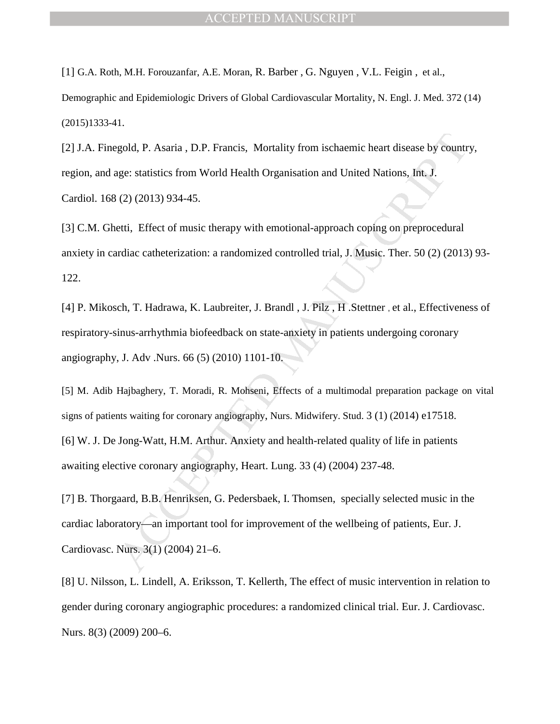[1] G.A. Roth, M.H. Forouzanfar, A.E. Moran, R. Barber , G. Nguyen , V.L. Feigin , et al.,

Demographic and Epidemiologic Drivers of Global Cardiovascular Mortality, N. Engl. J. Med. 372 (14) (2015)1333-41.

[2] J.A. Finegold, P. Asaria , D.P. Francis, Mortality from ischaemic heart disease by country, region, and age: statistics from World Health Organisation and United Nations, Int. J. Cardiol. 168 (2) (2013) 934-45.

[3] C.M. Ghetti, Effect of music therapy with emotional-approach coping on preprocedural anxiety in cardiac catheterization: a randomized controlled trial, J. Music. Ther. 50 (2) (2013) 93- 122.

[4] P. Mikosch, T. Hadrawa, K. Laubreiter, J. Brandl , J. Pilz , H .Stettner , et al., Effectiveness of respiratory-sinus-arrhythmia biofeedback on state-anxiety in patients undergoing coronary angiography, J. Adv .Nurs. 66 (5) (2010) 1101-10.

gold, P. Asaria, D.P. Francis, Mortality from ischaemic heart disease by country<br>age: statistics from World Health Organisation and United Nations, Int. J.<br>
(2) (2013) 934-45.<br>
etti, Effect of music therapy with emotional-[5] M. Adib Hajbaghery, T. Moradi, R. Mohseni, Effects of a multimodal preparation package on vital signs of patients waiting for coronary angiography, Nurs. Midwifery. Stud. 3 (1) (2014) e17518. [6] W. J. De Jong-Watt, H.M. Arthur. Anxiety and health-related quality of life in patients awaiting elective coronary angiography, Heart. Lung. 33 (4) (2004) 237-48.

[7] B. Thorgaard, B.B. Henriksen, G. Pedersbaek, I. Thomsen, specially selected music in the cardiac laboratory—an important tool for improvement of the wellbeing of patients, Eur. J. Cardiovasc. Nurs. 3(1) (2004) 21–6.

[8] U. Nilsson, L. Lindell, A. Eriksson, T. Kellerth, The effect of music intervention in relation to gender during coronary angiographic procedures: a randomized clinical trial. Eur. J. Cardiovasc. Nurs. 8(3) (2009) 200–6.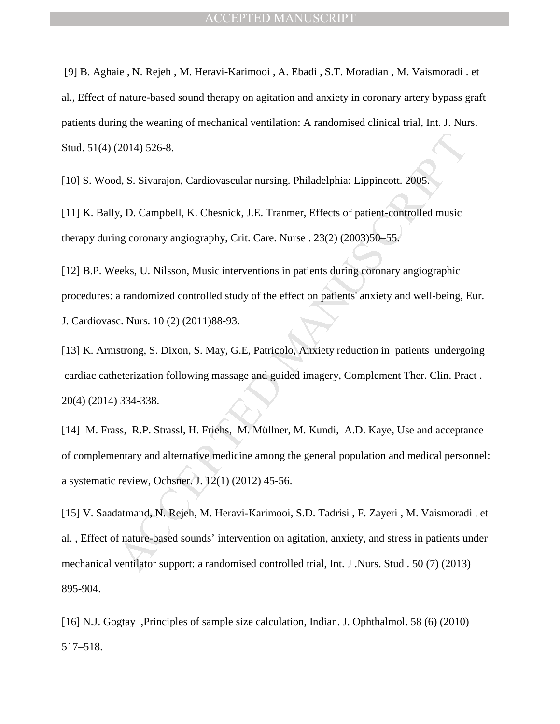[9] B. Aghaie , N. Rejeh , M. Heravi-Karimooi , A. Ebadi , S.T. Moradian , M. Vaismoradi . et al., Effect of nature-based sound therapy on agitation and anxiety in coronary artery bypass graft patients during the weaning of mechanical ventilation: A randomised clinical trial, Int. J. Nurs. Stud. 51(4) (2014) 526-8.

[10] S. Wood, S. Sivarajon, Cardiovascular nursing. Philadelphia: Lippincott. 2005.

[11] K. Bally, D. Campbell, K. Chesnick, J.E. Tranmer, Effects of patient-controlled music therapy during coronary angiography, Crit. Care. Nurse . 23(2) (2003)50–55.

[12] B.P. Weeks, U. Nilsson, Music interventions in patients during coronary angiographic procedures: a randomized controlled study of the effect on patients' anxiety and well-being, Eur. J. Cardiovasc. Nurs. 10 (2) (2011)88-93.

[13] K. Armstrong, S. Dixon, S. May, G.E, Patricolo, Anxiety reduction in patients undergoing cardiac catheterization following massage and guided imagery, Complement Ther. Clin. Pract . 20(4) (2014) 334-338.

[14] M. Frass, R.P. Strassl, H. Friehs, M. Müllner, M. Kundi, A.D. Kaye, Use and acceptance of complementary and alternative medicine among the general population and medical personnel: a systematic review, Ochsner. J. 12(1) (2012) 45-56.

2014) 526-8.<br>
2014) 526-8.<br>
4, S. Sivarajon, Cardiovascular nursing. Philadelphia: Lippincott. 2005.<br>
2015.<br>
2015. D. Campbell, K. Chesnick, J.E. Tranmer, Effects of patient-controlled music<br>
arg coronary angiography. Crit [15] V. Saadatmand, N. Rejeh, M. Heravi-Karimooi, S.D. Tadrisi , F. Zayeri , M. Vaismoradi , et al. , Effect of nature-based sounds' intervention on agitation, anxiety, and stress in patients under mechanical ventilator support: a randomised controlled trial, Int. J .Nurs. Stud . 50 (7) (2013) 895-904.

[16] N.J. Gogtay ,Principles of sample size calculation, Indian. J. Ophthalmol. 58 (6) (2010) 517–518.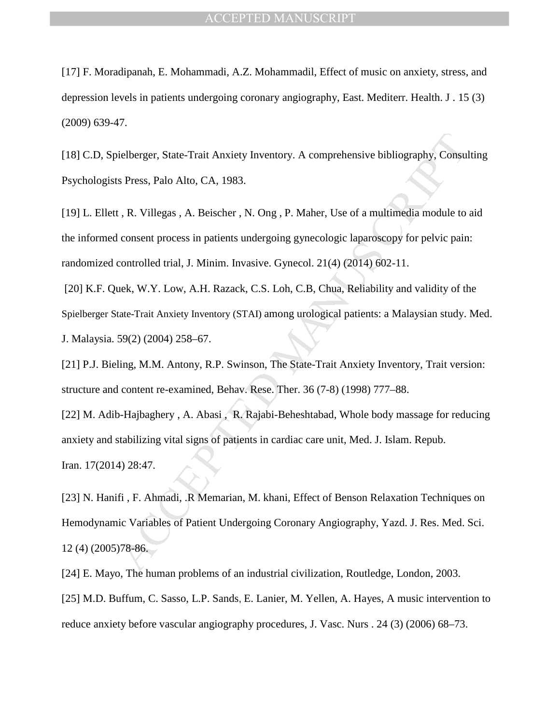[17] F. Moradipanah, E. Mohammadi, A.Z. Mohammadil, Effect of music on anxiety, stress, and depression levels in patients undergoing coronary angiography, East. Mediterr. Health. J . 15 (3) (2009) 639-47.

[18] C.D, Spielberger, State-Trait Anxiety Inventory. A comprehensive bibliography, Consulting Psychologists Press, Palo Alto, CA, 1983.

ielberger, State-Trait Anxiety Inventory. A comprehensive bibliography, Consults Press, Palo Alto, CA, 1983.<br>
1, R. Villegas, A. Beischer, N. Ong, P. Maher, Use of a multimedia module to<br>
1, R. Villegas, A. Beischer, N. On [19] L. Ellett, R. Villegas, A. Beischer, N. Ong, P. Maher, Use of a multimedia module to aid the informed consent process in patients undergoing gynecologic laparoscopy for pelvic pain: randomized controlled trial, J. Minim. Invasive. Gynecol. 21(4) (2014) 602-11.

 [20] K.F. Quek, W.Y. Low, A.H. Razack, C.S. Loh, C.B, Chua, Reliability and validity of the Spielberger State-Trait Anxiety Inventory (STAI) among urological patients: a Malaysian study. Med. J. Malaysia. 59(2) (2004) 258–67.

[21] P.J. Bieling, M.M. Antony, R.P. Swinson, The State-Trait Anxiety Inventory, Trait version: structure and content re-examined, Behav. Rese. Ther. 36 (7-8) (1998) 777–88.

[22] M. Adib-Hajbaghery , A. Abasi , R. Rajabi-Beheshtabad, Whole body massage for reducing anxiety and stabilizing vital signs of patients in cardiac care unit, Med. J. Islam. Repub. Iran. 17(2014) 28:47.

[23] N. Hanifi , F. Ahmadi, .R Memarian, M. khani, Effect of Benson Relaxation Techniques on Hemodynamic Variables of Patient Undergoing Coronary Angiography, Yazd. J. Res. Med. Sci. 12 (4) (2005)78-86.

[24] E. Mayo, The human problems of an industrial civilization, Routledge, London, 2003.

[25] M.D. Buffum, C. Sasso, L.P. Sands, E. Lanier, M. Yellen, A. Hayes, A music intervention to reduce anxiety before vascular angiography procedures, J. Vasc. Nurs . 24 (3) (2006) 68–73.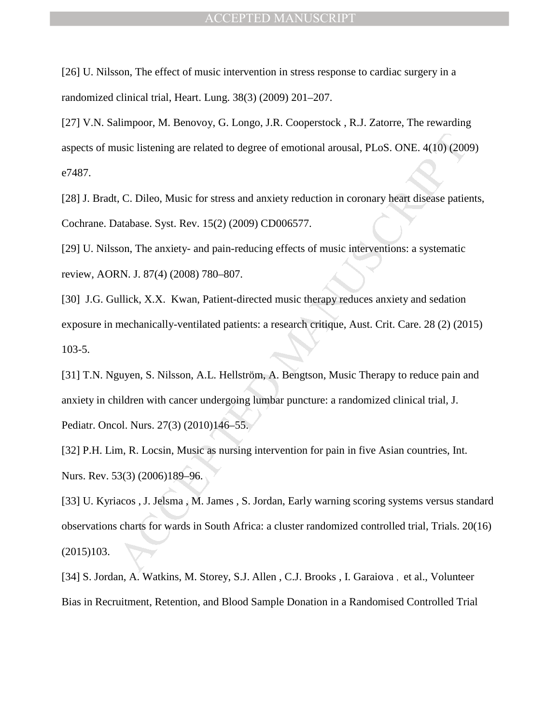[26] U. Nilsson, The effect of music intervention in stress response to cardiac surgery in a randomized clinical trial, Heart. Lung. 38(3) (2009) 201–207.

[27] V.N. Salimpoor, M. Benovoy, G. Longo, J.R. Cooperstock, R.J. Zatorre, The rewarding aspects of music listening are related to degree of emotional arousal, PLoS. ONE. 4(10) (2009) e7487.

[28] J. Bradt, C. Dileo, Music for stress and anxiety reduction in coronary heart disease patients, Cochrane. Database. Syst. Rev. 15(2) (2009) CD006577.

[29] U. Nilsson, The anxiety- and pain-reducing effects of music interventions: a systematic review, AORN. J. 87(4) (2008) 780–807.

[30] J.G. Gullick, X.X. Kwan, Patient-directed music therapy reduces anxiety and sedation exposure in mechanically-ventilated patients: a research critique, Aust. Crit. Care. 28 (2) (2015) 103-5.

[31] T.N. Nguyen, S. Nilsson, A.L. Hellström, A. Bengtson, Music Therapy to reduce pain and anxiety in children with cancer undergoing lumbar puncture: a randomized clinical trial, J. Pediatr. Oncol. Nurs. 27(3) (2010)146–55.

[32] P.H. Lim, R. Locsin, Music as nursing intervention for pain in five Asian countries, Int. Nurs. Rev. 53(3) (2006)189–96.

usic listening are related to degree of emotional arousal, PLoS. ONE. 4(10) (200<br>
(200), C. Dileo, Music for stress and anxiety reduction in coronary beart disease patie<br>
tatabase. Syst. Rev. 15(2) (2009) CD006577.<br>
Son, T [33] U. Kyriacos , J. Jelsma , M. James , S. Jordan, Early warning scoring systems versus standard observations charts for wards in South Africa: a cluster randomized controlled trial, Trials. 20(16) (2015)103.

[34] S. Jordan, A. Watkins, M. Storey, S.J. Allen , C.J. Brooks , I. Garaiova , et al., Volunteer Bias in Recruitment, Retention, and Blood Sample Donation in a Randomised Controlled Trial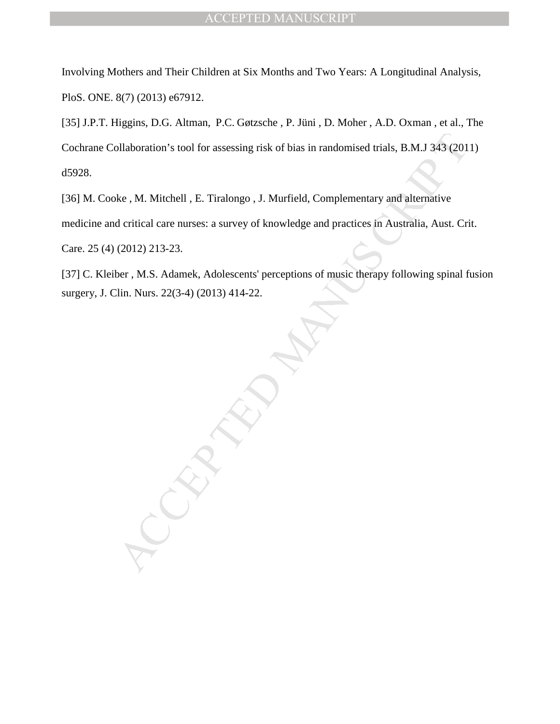Involving Mothers and Their Children at Six Months and Two Years: A Longitudinal Analysis, PloS. ONE. 8(7) (2013) e67912.

[35] J.P.T. Higgins, D.G. Altman, P.C. Gøtzsche , P. Jüni , D. Moher , A.D. Oxman , et al., The Cochrane Collaboration's tool for assessing risk of bias in randomised trials, B.M.J 343 (2011) d5928.

[36] M. Cooke, M. Mitchell, E. Tiralongo, J. Murfield, Complementary and alternative medicine and critical care nurses: a survey of knowledge and practices in Australia, Aust. Crit. Care. 25 (4) (2012) 213-23.

[37] C. Kleiber , M.S. Adamek, Adolescents' perceptions of music therapy following spinal fusion surgery, J. Clin. Nurs. 22(3-4) (2013) 414-22.

ollaboration's tool for assessing risk of bias in randomised trials, B.M.J 343 (201<br>
ke, M. Mitchell, E. Tiratongo, J. Murfield, Complementary and alternative<br>
deritical care nurses: a survey of knowledge and practices in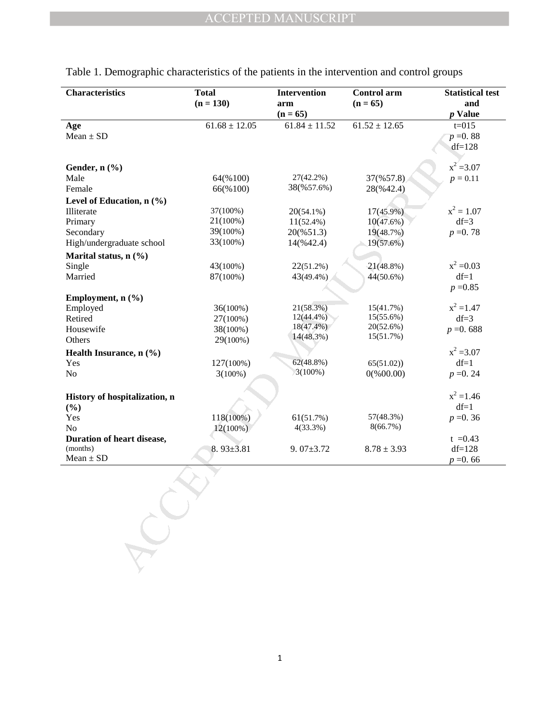| <b>Characteristics</b>        | <b>Total</b><br>$(n = 130)$ | Intervention<br>arm<br>$(n = 65)$ | Control arm<br>$(n = 65)$ | <b>Statistical test</b><br>and<br><i>p</i> Value |
|-------------------------------|-----------------------------|-----------------------------------|---------------------------|--------------------------------------------------|
| Age                           | $61.68 \pm 12.05$           | $61.84 \pm 11.52$                 | $61.52 \pm 12.65$         | $t=015$                                          |
| $Mean \pm SD$                 |                             |                                   |                           | $p = 0.88$                                       |
|                               |                             |                                   |                           | $df=128$                                         |
|                               |                             |                                   |                           |                                                  |
| Gender, n (%)                 |                             |                                   |                           | $x^2 = 3.07$                                     |
| Male                          | 64(%100)                    | 27(42.2%)                         | 37(%57.8)                 | $p = 0.11$                                       |
| Female                        | 66(%100)                    | 38(%57.6%)                        | 28(%42.4)                 |                                                  |
| Level of Education, n (%)     |                             |                                   |                           |                                                  |
| Illiterate                    | 37(100%)                    | $20(54.1\%)$                      | $17(45.9\%)$              | $x^2 = 1.07$                                     |
| Primary                       | 21(100%)                    | $11(52.4\%)$                      | 10(47.6%)                 | $df=3$                                           |
| Secondary                     | 39(100%)                    | 20(%51.3)                         | 19(48.7%)                 | $p = 0.78$                                       |
| High/undergraduate school     | 33(100%)                    | 14(%42.4)                         | 19(57.6%)                 |                                                  |
| Marital status, $n$ (%)       |                             |                                   |                           |                                                  |
| Single                        | 43(100%)                    | $22(51.2\%)$                      | 21(48.8%)                 | $x^2 = 0.03$                                     |
| Married                       | 87(100%)                    | 43(49.4%)                         | 44(50.6%)                 | $df=1$                                           |
|                               |                             |                                   |                           | $p = 0.85$                                       |
| Employment, $n$ (%)           |                             |                                   |                           |                                                  |
| Employed                      | 36(100%)                    | 21(58.3%)                         | 15(41.7%)                 | $x^2 = 1.47$                                     |
| Retired                       | 27(100%)                    | $12(44.4\%)$                      | 15(55.6%)                 | $df=3$                                           |
| Housewife                     | 38(100%)                    | $18(47.4\%)$                      | 20(52.6%)                 | $p = 0.688$                                      |
| Others                        | 29(100%)                    | 14(48.3%)                         | 15(51.7%)                 |                                                  |
| Health Insurance, n (%)       |                             |                                   |                           | $x^2 = 3.07$                                     |
| Yes                           | 127(100%)                   | 62(48.8%)                         | 65(51.02)                 | $df=1$                                           |
| No                            | $3(100\%)$                  | $3(100\%)$                        | $0$ (%00.00)              | $p = 0.24$                                       |
|                               |                             |                                   |                           |                                                  |
| History of hospitalization, n |                             |                                   |                           | $x^2 = 1.46$                                     |
| $(\%)$                        |                             |                                   |                           | $df=1$                                           |
| Yes                           | 118(100%)                   | 61(51.7%)                         | 57(48.3%)                 | $p = 0.36$                                       |
| No                            | $12(100\%)$                 | 4(33.3%)                          | 8(66.7%)                  |                                                  |
| Duration of heart disease,    |                             |                                   |                           | $t = 0.43$                                       |
| (months)                      | $8.93 \pm 3.81$             | $9.07 \pm 3.72$                   | $8.78 \pm 3.93$           | $df=128$                                         |
| $Mean \pm SD$                 |                             |                                   |                           | $p = 0.66$                                       |
|                               |                             |                                   |                           |                                                  |

|  | Table 1. Demographic characteristics of the patients in the intervention and control groups |  |  |  |  |
|--|---------------------------------------------------------------------------------------------|--|--|--|--|
|  |                                                                                             |  |  |  |  |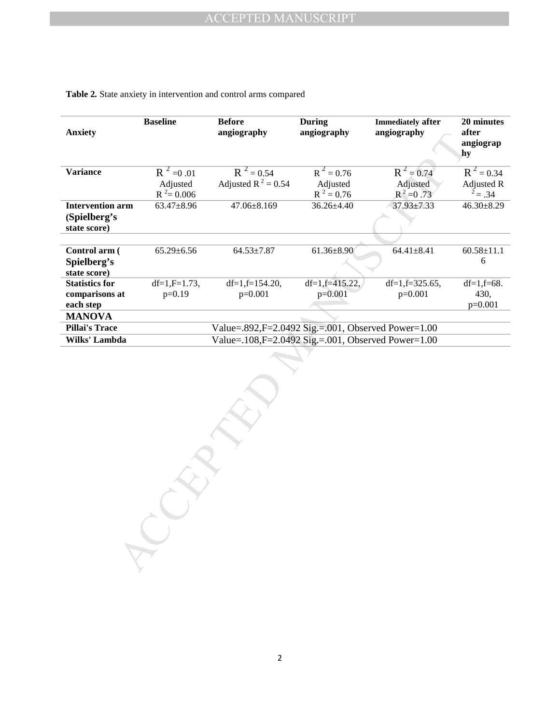| <b>Anxiety</b>                                          | <b>Baseline</b>  | <b>Before</b><br>angiography                                 | <b>During</b><br>angiography | <b>Immediately after</b><br>angiography | 20 minutes<br>after<br>angiograp<br>hy |
|---------------------------------------------------------|------------------|--------------------------------------------------------------|------------------------------|-----------------------------------------|----------------------------------------|
| <b>Variance</b>                                         | $R^2 = 0.01$     | $R^2 = 0.54$                                                 | $R^2 = 0.76$                 | $R^2 = 0.74$                            | $R^2 = 0.34$                           |
|                                                         | Adjusted         | Adjusted R <sup>2</sup> = 0.54                               | Adjusted                     | Adjusted                                | Adjusted R                             |
|                                                         | $R^2 = 0.006$    |                                                              | $R^2 = 0.76$                 | $R^2 = 0.73$                            | $2^2$ = .34                            |
| <b>Intervention arm</b><br>(Spielberg's<br>state score) | 63.47±8.96       | $47.06 \pm 8.169$                                            | 36.26±4.40                   | 37.93±7.33                              | $46.30 \pm 8.29$                       |
|                                                         |                  |                                                              |                              |                                         |                                        |
| Control arm (<br>Spielberg's<br>state score)            | $65.29 \pm 6.56$ | $64.53 \pm 7.87$                                             | $61.36 \pm 8.90$             | $64.41 \pm 8.41$                        | $60.58 \pm 11.1$<br>$6\,$              |
| <b>Statistics for</b>                                   | $df=1, F=1.73,$  | $df=1, f=154.20,$                                            | $df=1, f=415.22,$            | $df=1, f=325.65,$                       | $df=1,f=68.$                           |
| comparisons at                                          | $p=0.19$         | $p=0.001$                                                    | $p=0.001$                    | $p=0.001$                               | 430,                                   |
| each step                                               |                  |                                                              |                              |                                         | $p=0.001$                              |
| <b>MANOVA</b>                                           |                  |                                                              |                              |                                         |                                        |
| <b>Pillai's Trace</b>                                   |                  | Value=.892,F=2.0492 Sig.=.001, Observed Power=1.00           |                              |                                         |                                        |
| Wilks' Lambda                                           |                  | Value=.108, $F = 2.0492$ Sig, $= .001$ , Observed Power=1.00 |                              |                                         |                                        |
|                                                         |                  |                                                              |                              |                                         |                                        |

## **Table 2***.* State anxiety in intervention and control arms compared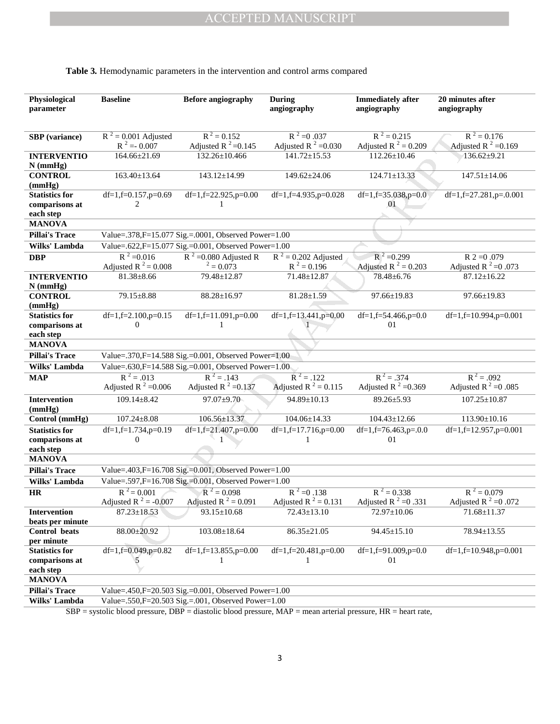| Physiological<br>parameter | <b>Baseline</b>          | <b>Before angiography</b>                                                                                                | During<br>angiography    | <b>Immediately after</b><br>angiography | 20 minutes after<br>angiography |
|----------------------------|--------------------------|--------------------------------------------------------------------------------------------------------------------------|--------------------------|-----------------------------------------|---------------------------------|
|                            |                          |                                                                                                                          |                          |                                         |                                 |
| <b>SBP</b> (variance)      | $R^2$ = 0.001 Adjusted   | $R^2 = 0.152$                                                                                                            | $R^2 = 0.037$            | $R^2 = 0.215$                           | $R^2 = 0.176$                   |
|                            | $R^2 = -0.007$           | Adjusted R $^{2}$ =0.145                                                                                                 | Adjusted R $^2$ =0.030   | Adjusted R <sup>2</sup> = 0.209         | Adjusted R $^2$ =0.169          |
| <b>INTERVENTIO</b>         | 164.66±21.69             | $132.26 \pm 10.466$                                                                                                      | $141.72 \pm 15.53$       | $112.26 \pm 10.46$                      | $136.62 \pm 9.21$               |
| $N$ (mmHg)                 |                          |                                                                                                                          |                          |                                         |                                 |
| <b>CONTROL</b><br>(mmHg)   | $163.40 \pm 13.64$       | 143.12±14.99                                                                                                             | $149.62 \pm 24.06$       | $124.71 \pm 13.33$                      | $147.51 \pm 14.06$              |
| <b>Statistics for</b>      | $df=1, f=0.157, p=0.69$  | df=1,f=22.925,p=0.00                                                                                                     | df=1,f=4.935,p=0.028     | $df=1, f=35.038, p=0.0$                 | $df=1, f=27.281, p=.0.001$      |
| comparisons at             | 2                        | 1                                                                                                                        |                          | 01                                      |                                 |
| each step                  |                          |                                                                                                                          |                          |                                         |                                 |
| <b>MANOVA</b>              |                          |                                                                                                                          |                          |                                         |                                 |
| <b>Pillai's Trace</b>      |                          | Value=.378, F=15.077 Sig. = .0001, Observed Power=1.00                                                                   |                          |                                         |                                 |
| Wilks' Lambda              |                          | Value=.622,F=15.077 Sig.=0.001, Observed Power=1.00                                                                      |                          |                                         |                                 |
| <b>DBP</b>                 | $R^2 = 0.016$            | $R^2$ =0.080 Adjusted R                                                                                                  | $R^2 = 0.202$ Adjusted   | $R^2 = 0.299$                           | $R$ 2 = 0.079                   |
|                            | Adjusted R $^2$ = 0.008  | $2 = 0.073$                                                                                                              | $R^2 = 0.196$            | Adjusted R <sup>2</sup> = 0.203         | Adjusted R $2=0.073$            |
| <b>INTERVENTIO</b>         | $81.38 \pm 8.66$         | 79.48±12.87                                                                                                              | 71.48±12.87              | 78.48±6.76                              | $87.12 \pm 16.22$               |
| $N$ (mmHg)                 |                          |                                                                                                                          |                          |                                         |                                 |
| <b>CONTROL</b>             | 79.15±8.88               | $88.28 \pm 16.97$                                                                                                        | $81.28 \pm 1.59$         | 97.66±19.83                             | 97.66±19.83                     |
| (mmHg)                     |                          |                                                                                                                          |                          |                                         |                                 |
| <b>Statistics for</b>      | $df=1, f=2.100, p=0.15$  | df=1,f=11.091,p=0.00                                                                                                     | df=1,f=13.441,p=0.00     | $df=1, f=54.466, p=0.0$                 | $df=1, f=10.994, p=0.001$       |
| comparisons at             | $\boldsymbol{0}$         | 1                                                                                                                        |                          | 01                                      |                                 |
| each step                  |                          |                                                                                                                          |                          |                                         |                                 |
| <b>MANOVA</b>              |                          |                                                                                                                          |                          |                                         |                                 |
| <b>Pillai's Trace</b>      |                          | Value=.370,F=14.588 Sig.=0.001, Observed Power=1.00                                                                      |                          |                                         |                                 |
| Wilks' Lambda              |                          | Value=.630,F=14.588 Sig.=0.001, Observed Power=1.00                                                                      |                          |                                         |                                 |
| <b>MAP</b>                 | $R^2 = .013$             | $R^2 = .143$                                                                                                             | $R^2 = .122$             | $R^2 = .374$                            | $R^2 = .092$                    |
|                            | Adjusted R $^2$ =0.006   | Adjusted R $^2$ =0.137                                                                                                   | Adjusted R $^2$ = 0.115  | Adjusted R <sup>2</sup> =0.369          | Adjusted R <sup>2</sup> = 0.085 |
| <b>Intervention</b>        | $109.14 \pm 8.42$        | $97.07 \pm 9.70$                                                                                                         | 94.89±10.13              | 89.26±5.93                              | $107.25 \pm 10.87$              |
| (mmHg)                     |                          |                                                                                                                          |                          |                                         |                                 |
| Control (mmHg)             | $107.24 \pm 8.08$        | 106.56±13.37                                                                                                             | $104.06 \pm 14.33$       | $104.43 \pm 12.66$                      | 113.90±10.16                    |
| <b>Statistics for</b>      | df=1,f=1.734,p=0.19      | $df=1, f=21.407, p=0.00$                                                                                                 | df=1,f=17.716,p=0.00     | df=1,f=76.463,p=.0.0                    | $df=1, f=12.957, p=0.001$       |
| comparisons at             | $\Omega$                 |                                                                                                                          |                          | 01                                      |                                 |
| each step                  |                          |                                                                                                                          |                          |                                         |                                 |
| <b>MANOVA</b>              |                          |                                                                                                                          |                          |                                         |                                 |
| <b>Pillai's Trace</b>      |                          | Value=.403,F=16.708 Sig.=0.001, Observed Power=1.00                                                                      |                          |                                         |                                 |
| <b>Wilks' Lambda</b>       |                          | Value=.597,F=16.708 Sig.=0.001, Observed Power=1.00                                                                      |                          |                                         |                                 |
| HR                         | $R^2 = 0.001$            | $R^2 = 0.098$                                                                                                            | $R^2 = 0.138$            | $R^2 = 0.338$                           | $R^2 = 0.079$                   |
|                            | Adjusted R $^2$ = -0.007 | Adjusted R <sup>2</sup> = 0.091                                                                                          | Adjusted R $^2$ = 0.131  | Adjusted R $^2$ =0.331                  | Adjusted R $^2$ =0.072          |
| <b>Intervention</b>        | $87.23 \pm 18.53$        | $93.15 \pm 10.68$                                                                                                        | $72.43 \pm 13.10$        | 72.97±10.06                             | $71.68 \pm 11.37$               |
| beats per minute           |                          |                                                                                                                          |                          |                                         |                                 |
| Control beats              | 88.00±20.92              | $103.08 \pm 18.64$                                                                                                       | $86.35 \pm 21.05$        | $94.45 \pm 15.10$                       | 78.94±13.55                     |
| per minute                 |                          |                                                                                                                          |                          |                                         |                                 |
| <b>Statistics for</b>      | df=1,f=0.049,p=0.82      | $df=1, f=13.855, p=0.00$                                                                                                 | $df=1, f=20.481, p=0.00$ | $df=1,f=91.009,p=0.0$                   | $df=1, f=10.948, p=0.001$       |
| comparisons at             |                          |                                                                                                                          |                          | 01                                      |                                 |
| each step                  |                          |                                                                                                                          |                          |                                         |                                 |
| <b>MANOVA</b>              |                          |                                                                                                                          |                          |                                         |                                 |
| <b>Pillai's Trace</b>      |                          | Value=.450,F=20.503 Sig.=0.001, Observed Power=1.00                                                                      |                          |                                         |                                 |
| Wilks' Lambda              |                          | Value=.550,F=20.503 Sig.=.001, Observed Power=1.00                                                                       |                          |                                         |                                 |
|                            |                          | $R$ RP – systolic blood pressure $DRP$ – diastolic blood pressure $M\Delta P$ – mean arterial pressure $HR$ – heart rate |                          |                                         |                                 |

## **Table 3***.* Hemodynamic parameters in the intervention and control arms compared

SBP = systolic blood pressure, DBP = diastolic blood pressure, MAP = mean arterial pressure, HR = heart rate,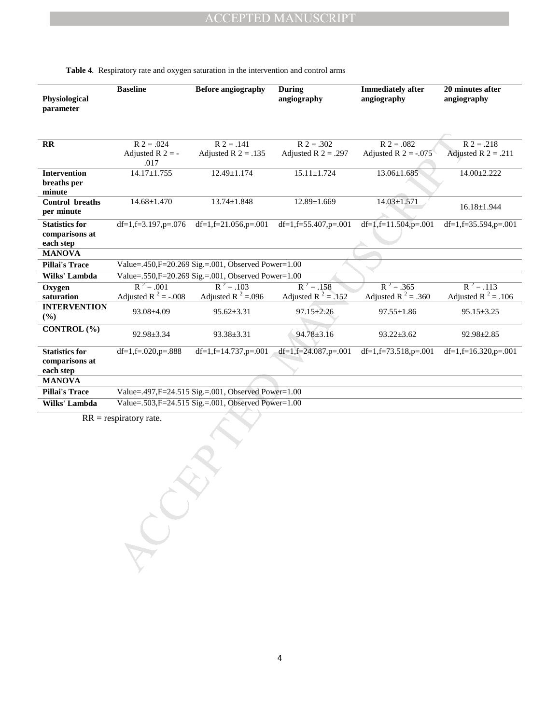| Physiological<br>parameter                           | <b>Baseline</b>            | <b>Before angiography</b>                           | During<br>angiography          | <b>Immediately after</b><br>angiography | 20 minutes after<br>angiography |
|------------------------------------------------------|----------------------------|-----------------------------------------------------|--------------------------------|-----------------------------------------|---------------------------------|
|                                                      |                            |                                                     |                                |                                         |                                 |
| $\mathbf{R}$                                         | $R$ 2 = .024               | $R$ 2 = .141                                        | $R$ 2 = .302                   | $R$ 2 = .082                            | $R$ 2 = .218                    |
|                                                      | Adjusted R $2 = -$<br>.017 | Adjusted R $2 = .135$                               | Adjusted R $2 = .297$          | Adjusted R $2 = -.075$                  | Adjusted R $2 = .211$           |
| Intervention                                         | $14.17 \pm 1.755$          | 12.49±1.174                                         | $15.11 \pm 1.724$              | $13.06 \pm 1.685$                       | 14.00±2.222                     |
| breaths per<br>minute                                |                            |                                                     |                                |                                         |                                 |
| Control breaths                                      | $14.68 \pm 1.470$          | $13.74 \pm 1.848$                                   | $12.89 \pm 1.669$              | $14.03 \pm 1.571$                       |                                 |
| per minute                                           |                            |                                                     |                                |                                         | $16.18 \pm 1.944$               |
| <b>Statistics for</b>                                | $df=1, f=3.197, p=.076$    | $df=1, f=21.056, p=.001$                            | df=1,f=55.407,p=.001           | $df=1, f=11.504, p=.001$                | $df=1, f=35.594, p=.001$        |
| comparisons at                                       |                            |                                                     |                                |                                         |                                 |
| each step                                            |                            |                                                     |                                |                                         |                                 |
| <b>MANOVA</b>                                        |                            |                                                     |                                |                                         |                                 |
| <b>Pillai's Trace</b>                                |                            | Value=.450,F=20.269 Sig.=.001, Observed Power=1.00  |                                |                                         |                                 |
| Wilks' Lambda                                        |                            | Value=.550,F=20.269 Sig.=.001, Observed Power=1.00  |                                |                                         |                                 |
| Oxygen                                               | $R^2 = .001$               | $R^2 = .103$                                        | $R^2 = .158$                   | $R^2 = .365$                            | $R^2 = .113$                    |
| saturation                                           | Adjusted R $^2$ = -.008    | Adjusted R <sup>2</sup> =.096                       | Adjusted R <sup>2</sup> = .152 | Adjusted R <sup>2</sup> = .360          | Adjusted R $^2$ = .106          |
| <b>INTERVENTION</b><br>(%)                           | 93.08±4.09                 | $95.62 \pm 3.31$                                    | $97.15 \pm 2.26$               | $97.55 \pm 1.86$                        | $95.15 \pm 3.25$                |
| CONTROL (%)                                          | 92.98±3.34                 | 93.38±3.31                                          | $94.78 \pm 3.16$               | $93.22 \pm 3.62$                        | 92.98±2.85                      |
| <b>Statistics for</b><br>comparisons at<br>each step | df=1,f=.020,p= $.888$      | $df=1, f=14.737, p=.001$                            | df=1,f=24.087,p=.001           | $df=1, f=73.518, p=.001$                | $df=1, f=16.320, p=.001$        |
| <b>MANOVA</b>                                        |                            |                                                     |                                |                                         |                                 |
| <b>Pillai's Trace</b>                                |                            | Value=.497, F=24.515 Sig.=.001, Observed Power=1.00 |                                |                                         |                                 |
| Wilks' Lambda                                        |                            | Value=.503, F=24.515 Sig.=.001, Observed Power=1.00 |                                |                                         |                                 |
|                                                      | $RR =$ respiratory rate.   |                                                     |                                |                                         |                                 |

#### **Table 4***.* Respiratory rate and oxygen saturation in the intervention and control arms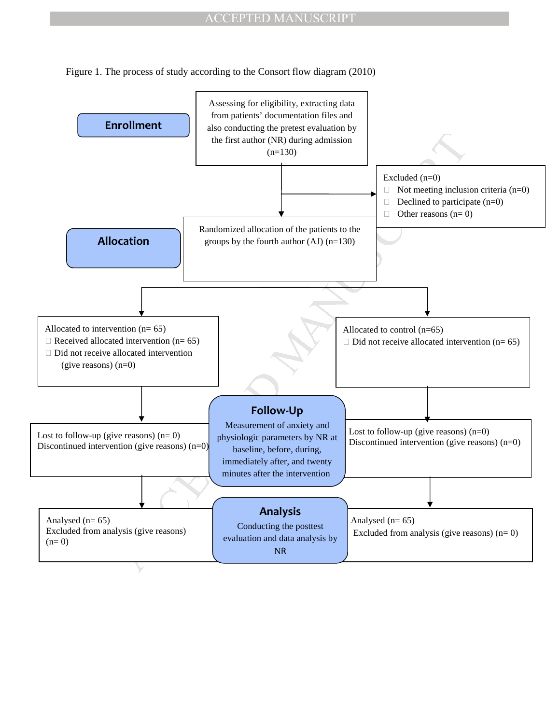Figure 1. The process of study according to the Consort flow diagram (2010)

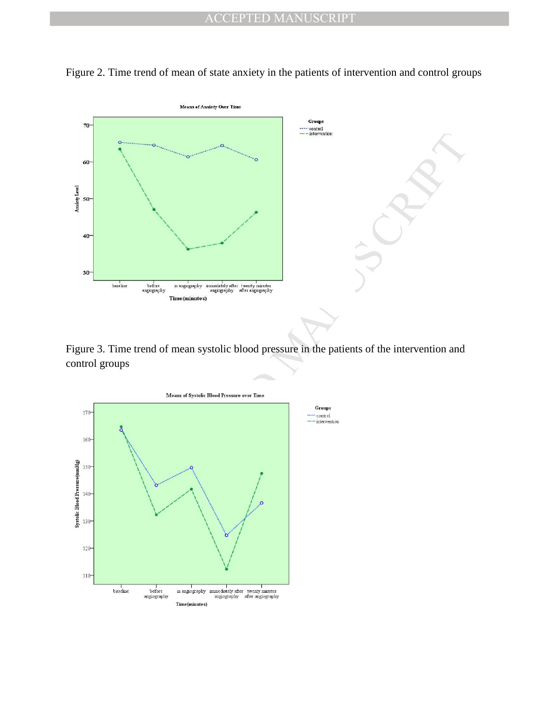

Figure 2. Time trend of mean of state anxiety in the patients of intervention and control groups

Figure 3. Time trend of mean systolic blood pressure in the patients of the intervention and control groups

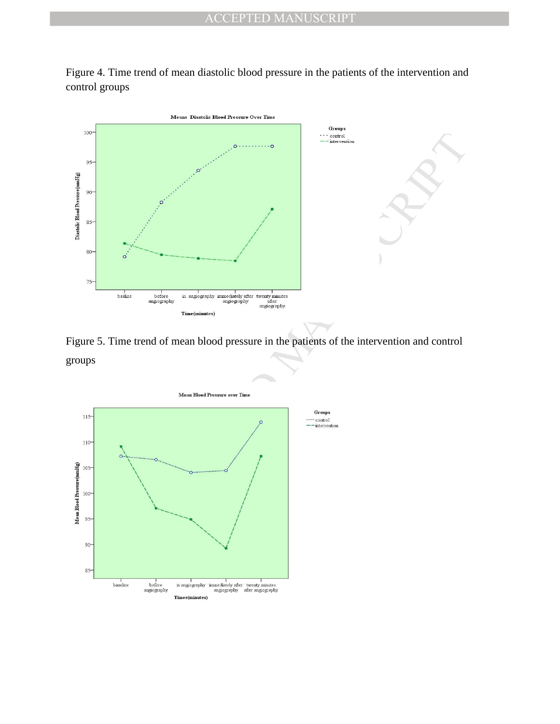



Figure 5. Time trend of mean blood pressure in the patients of the intervention and control groups

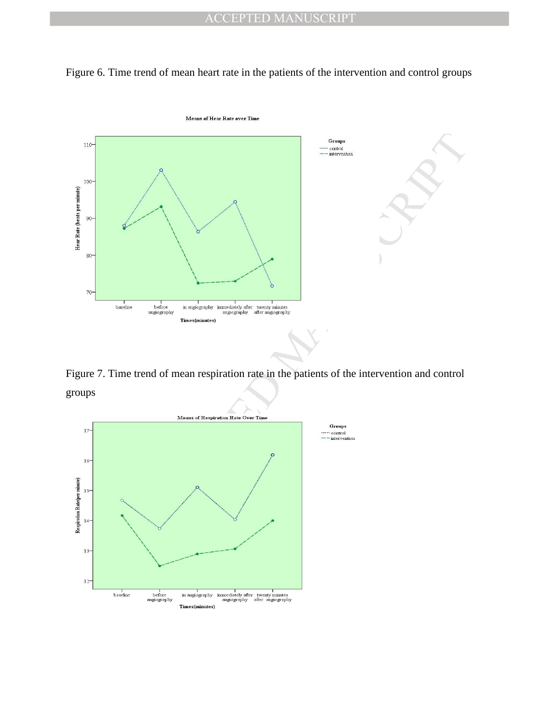



Figure 7. Time trend of mean respiration rate in the patients of the intervention and control groups

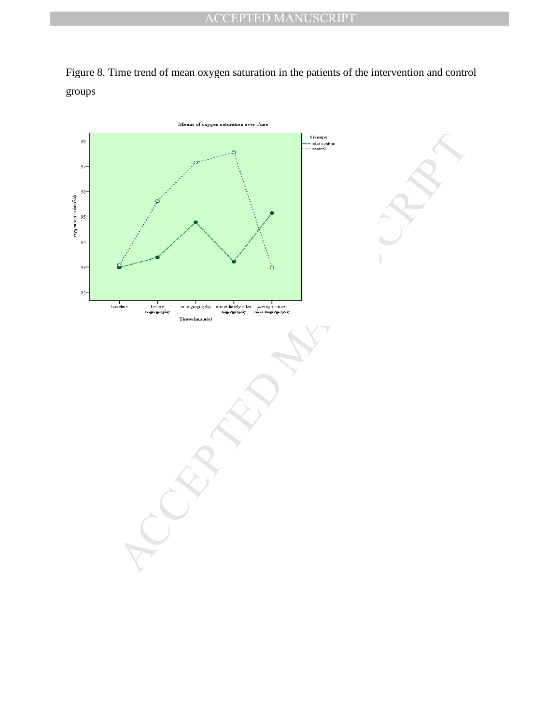